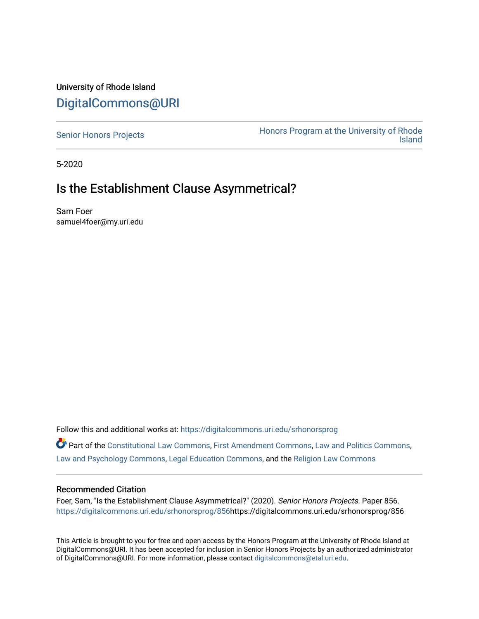# University of Rhode Island [DigitalCommons@URI](https://digitalcommons.uri.edu/)

[Senior Honors Projects](https://digitalcommons.uri.edu/srhonorsprog) **Honors Program at the University of Rhode**<br>Island [Island](https://digitalcommons.uri.edu/honors_prog) 

5-2020

# Is the Establishment Clause Asymmetrical?

Sam Foer samuel4foer@my.uri.edu

Follow this and additional works at: [https://digitalcommons.uri.edu/srhonorsprog](https://digitalcommons.uri.edu/srhonorsprog?utm_source=digitalcommons.uri.edu%2Fsrhonorsprog%2F856&utm_medium=PDF&utm_campaign=PDFCoverPages)

Part of the [Constitutional Law Commons,](http://network.bepress.com/hgg/discipline/589?utm_source=digitalcommons.uri.edu%2Fsrhonorsprog%2F856&utm_medium=PDF&utm_campaign=PDFCoverPages) [First Amendment Commons,](http://network.bepress.com/hgg/discipline/1115?utm_source=digitalcommons.uri.edu%2Fsrhonorsprog%2F856&utm_medium=PDF&utm_campaign=PDFCoverPages) [Law and Politics Commons](http://network.bepress.com/hgg/discipline/867?utm_source=digitalcommons.uri.edu%2Fsrhonorsprog%2F856&utm_medium=PDF&utm_campaign=PDFCoverPages), [Law and Psychology Commons,](http://network.bepress.com/hgg/discipline/870?utm_source=digitalcommons.uri.edu%2Fsrhonorsprog%2F856&utm_medium=PDF&utm_campaign=PDFCoverPages) [Legal Education Commons,](http://network.bepress.com/hgg/discipline/857?utm_source=digitalcommons.uri.edu%2Fsrhonorsprog%2F856&utm_medium=PDF&utm_campaign=PDFCoverPages) and the [Religion Law Commons](http://network.bepress.com/hgg/discipline/872?utm_source=digitalcommons.uri.edu%2Fsrhonorsprog%2F856&utm_medium=PDF&utm_campaign=PDFCoverPages) 

#### Recommended Citation

Foer, Sam, "Is the Establishment Clause Asymmetrical?" (2020). Senior Honors Projects. Paper 856. [https://digitalcommons.uri.edu/srhonorsprog/856](https://digitalcommons.uri.edu/srhonorsprog/856?utm_source=digitalcommons.uri.edu%2Fsrhonorsprog%2F856&utm_medium=PDF&utm_campaign=PDFCoverPages)https://digitalcommons.uri.edu/srhonorsprog/856

This Article is brought to you for free and open access by the Honors Program at the University of Rhode Island at DigitalCommons@URI. It has been accepted for inclusion in Senior Honors Projects by an authorized administrator of DigitalCommons@URI. For more information, please contact [digitalcommons@etal.uri.edu](mailto:digitalcommons@etal.uri.edu).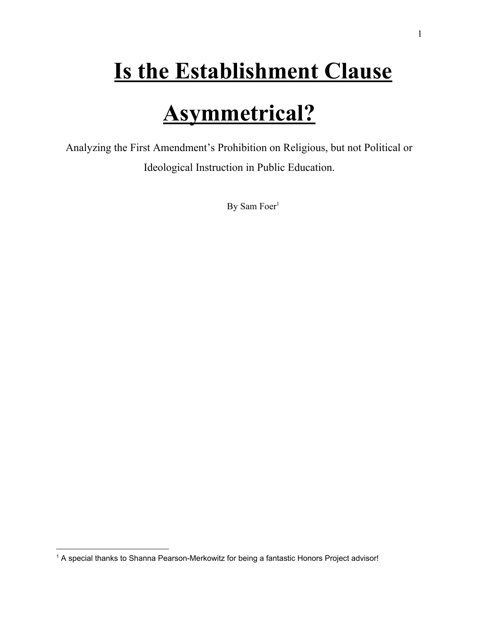# **Is the Establishment Clause**

# **Asymmetrical?**

Analyzing the First Amendment's Prohibition on Religious, but not Political or Ideological Instruction in Public Education.

By Sam Foer<sup>1</sup>

<sup>&</sup>lt;sup>1</sup> A special thanks to Shanna Pearson-Merkowitz for being a fantastic Honors Project advisor!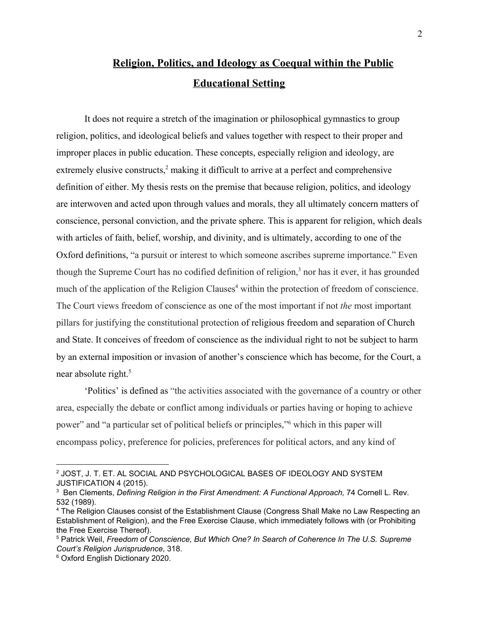# **Religion, Politics, and Ideology as Coequal within the Public Educational Setting**

It does not require a stretch of the imagination or philosophical gymnastics to group religion, politics, and ideological beliefs and values together with respect to their proper and improper places in public education. These concepts, especially religion and ideology, are extremely elusive constructs, $2 \text{ making it difficult to arrive at a perfect and comprehensive}$ definition of either. My thesis rests on the premise that because religion, politics, and ideology are interwoven and acted upon through values and morals, they all ultimately concern matters of conscience, personal conviction, and the private sphere. This is apparent for religion, which deals with articles of faith, belief, worship, and divinity, and is ultimately, according to one of the Oxford definitions, "a pursuit or interest to which someone ascribes supreme importance." Even though the Supreme Court has no codified definition of religion, $3$  nor has it ever, it has grounded much of the application of the Religion Clauses<sup>4</sup> within the protection of freedom of conscience. The Court views freedom of conscience as one of the most important if not *the* most important pillars for justifying the constitutional protection of religious freedom and separation of Church and State. It conceives of freedom of conscience as the individual right to not be subject to harm by an external imposition or invasion of another's conscience which has become, for the Court, a near absolute right.<sup>5</sup>

'Politics' is defined as "the activities associated with the governance of a country or other area, especially the debate or conflict among individuals or parties having or hoping to achieve power" and "a particular set of political beliefs or principles," which in this paper will encompass policy, preference for policies, preferences for political actors, and any kind of

<sup>2</sup> JOST, J. T. ET. AL SOCIAL AND PSYCHOLOGICAL BASES OF IDEOLOGY AND SYSTEM JUSTIFICATION 4 (2015).

<sup>3</sup> Ben Clements, *Defining Religion in the First Amendment: A Functional Approach,* 74 Cornell L. Rev. 532 (1989).

<sup>4</sup> The Religion Clauses consist of the Establishment Clause (Congress Shall Make no Law Respecting an Establishment of Religion), and the Free Exercise Clause, which immediately follows with (or Prohibiting the Free Exercise Thereof).

<sup>5</sup> Patrick Weil, *Freedom of Conscience, But Which One? In Search of Coherence In The U.S. Supreme Court's Religion Jurisprudence*, 318.

<sup>6</sup> Oxford English Dictionary 2020.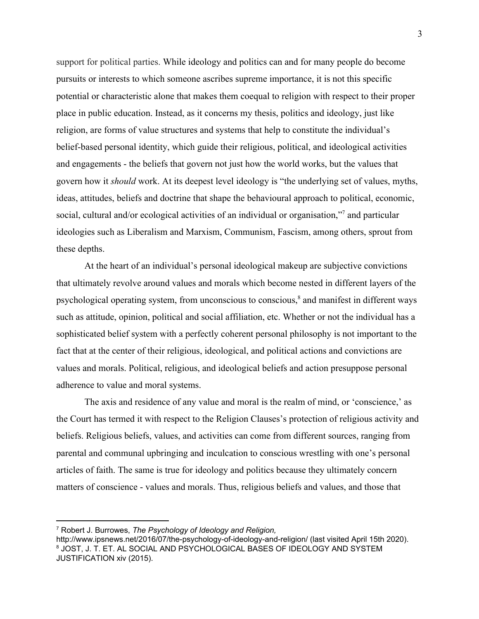support for political parties. While ideology and politics can and for many people do become pursuits or interests to which someone ascribes supreme importance, it is not this specific potential or characteristic alone that makes them coequal to religion with respect to their proper place in public education. Instead, as it concerns my thesis, politics and ideology, just like religion, are forms of value structures and systems that help to constitute the individual's belief-based personal identity, which guide their religious, political, and ideological activities and engagements - the beliefs that govern not just how the world works, but the values that govern how it *should* work. At its deepest level ideology is "the underlying set of values, myths, ideas, attitudes, beliefs and doctrine that shape the behavioural approach to political, economic, social, cultural and/or ecological activities of an individual or organisation,"<sup>7</sup> and particular ideologies such as Liberalism and Marxism, Communism, Fascism, among others, sprout from these depths.

At the heart of an individual's personal ideological makeup are subjective convictions that ultimately revolve around values and morals which become nested in different layers of the psychological operating system, from unconscious to conscious,<sup>8</sup> and manifest in different ways such as attitude, opinion, political and social affiliation, etc. Whether or not the individual has a sophisticated belief system with a perfectly coherent personal philosophy is not important to the fact that at the center of their religious, ideological, and political actions and convictions are values and morals. Political, religious, and ideological beliefs and action presuppose personal adherence to value and moral systems.

The axis and residence of any value and moral is the realm of mind, or 'conscience,' as the Court has termed it with respect to the Religion Clauses's protection of religious activity and beliefs. Religious beliefs, values, and activities can come from different sources, ranging from parental and communal upbringing and inculcation to conscious wrestling with one's personal articles of faith. The same is true for ideology and politics because they ultimately concern matters of conscience - values and morals. Thus, religious beliefs and values, and those that

<sup>7</sup> Robert J. Burrowes, *The Psychology of Ideology and Religion,*

http://www.ipsnews.net/2016/07/the-psychology-of-ideology-and-religion/ (last visited April 15th 2020). <sup>8</sup> JOST, J. T. ET. AL SOCIAL AND PSYCHOLOGICAL BASES OF IDEOLOGY AND SYSTEM JUSTIFICATION xiv (2015).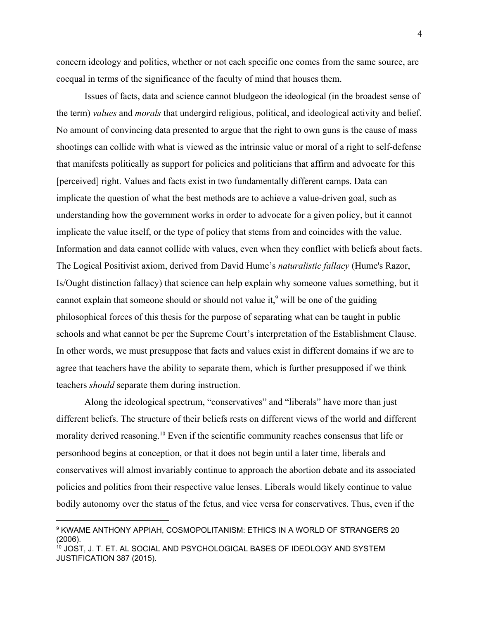concern ideology and politics, whether or not each specific one comes from the same source, are coequal in terms of the significance of the faculty of mind that houses them.

Issues of facts, data and science cannot bludgeon the ideological (in the broadest sense of the term) *values* and *morals* that undergird religious, political, and ideological activity and belief. No amount of convincing data presented to argue that the right to own guns is the cause of mass shootings can collide with what is viewed as the intrinsic value or moral of a right to self-defense that manifests politically as support for policies and politicians that affirm and advocate for this [perceived] right. Values and facts exist in two fundamentally different camps. Data can implicate the question of what the best methods are to achieve a value-driven goal, such as understanding how the government works in order to advocate for a given policy, but it cannot implicate the value itself, or the type of policy that stems from and coincides with the value. Information and data cannot collide with values, even when they conflict with beliefs about facts. The Logical Positivist axiom, derived from David Hume's *naturalistic fallacy* (Hume's Razor, Is/Ought distinction fallacy) that science can help explain why someone values something, but it cannot explain that someone should or should not value it,<sup>9</sup> will be one of the guiding philosophical forces of this thesis for the purpose of separating what can be taught in public schools and what cannot be per the Supreme Court's interpretation of the Establishment Clause. In other words, we must presuppose that facts and values exist in different domains if we are to agree that teachers have the ability to separate them, which is further presupposed if we think teachers *should* separate them during instruction.

Along the ideological spectrum, "conservatives" and "liberals" have more than just different beliefs. The structure of their beliefs rests on different views of the world and different morality derived reasoning.<sup>10</sup> Even if the scientific community reaches consensus that life or personhood begins at conception, or that it does not begin until a later time, liberals and conservatives will almost invariably continue to approach the abortion debate and its associated policies and politics from their respective value lenses. Liberals would likely continue to value bodily autonomy over the status of the fetus, and vice versa for conservatives. Thus, even if the

<sup>9</sup> KWAME ANTHONY APPIAH, COSMOPOLITANISM: ETHICS IN A WORLD OF STRANGERS 20 (2006).

<sup>10</sup> JOST, J. T. ET. AL SOCIAL AND PSYCHOLOGICAL BASES OF IDEOLOGY AND SYSTEM JUSTIFICATION 387 (2015).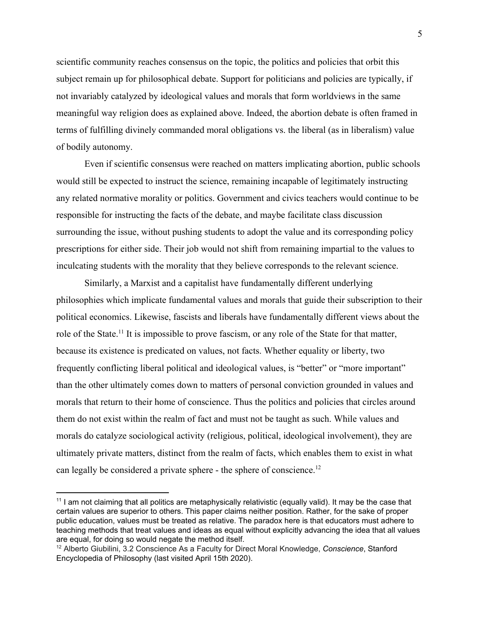scientific community reaches consensus on the topic, the politics and policies that orbit this subject remain up for philosophical debate. Support for politicians and policies are typically, if not invariably catalyzed by ideological values and morals that form worldviews in the same meaningful way religion does as explained above. Indeed, the abortion debate is often framed in terms of fulfilling divinely commanded moral obligations vs. the liberal (as in liberalism) value of bodily autonomy.

Even if scientific consensus were reached on matters implicating abortion, public schools would still be expected to instruct the science, remaining incapable of legitimately instructing any related normative morality or politics. Government and civics teachers would continue to be responsible for instructing the facts of the debate, and maybe facilitate class discussion surrounding the issue, without pushing students to adopt the value and its corresponding policy prescriptions for either side. Their job would not shift from remaining impartial to the values to inculcating students with the morality that they believe corresponds to the relevant science.

Similarly, a Marxist and a capitalist have fundamentally different underlying philosophies which implicate fundamental values and morals that guide their subscription to their political economics. Likewise, fascists and liberals have fundamentally different views about the role of the State.<sup>11</sup> It is impossible to prove fascism, or any role of the State for that matter, because its existence is predicated on values, not facts. Whether equality or liberty, two frequently conflicting liberal political and ideological values, is "better" or "more important" than the other ultimately comes down to matters of personal conviction grounded in values and morals that return to their home of conscience. Thus the politics and policies that circles around them do not exist within the realm of fact and must not be taught as such. While values and morals do catalyze sociological activity (religious, political, ideological involvement), they are ultimately private matters, distinct from the realm of facts, which enables them to exist in what can legally be considered a private sphere - the sphere of conscience.<sup>12</sup>

<sup>&</sup>lt;sup>11</sup> I am not claiming that all politics are metaphysically relativistic (equally valid). It may be the case that certain values are superior to others. This paper claims neither position. Rather, for the sake of proper public education, values must be treated as relative. The paradox here is that educators must adhere to teaching methods that treat values and ideas as equal without explicitly advancing the idea that all values are equal, for doing so would negate the method itself.

<sup>12</sup> Alberto Giubilini, 3.2 Conscience As a Faculty for Direct Moral Knowledge, *Conscience*, Stanford Encyclopedia of Philosophy (last visited April 15th 2020).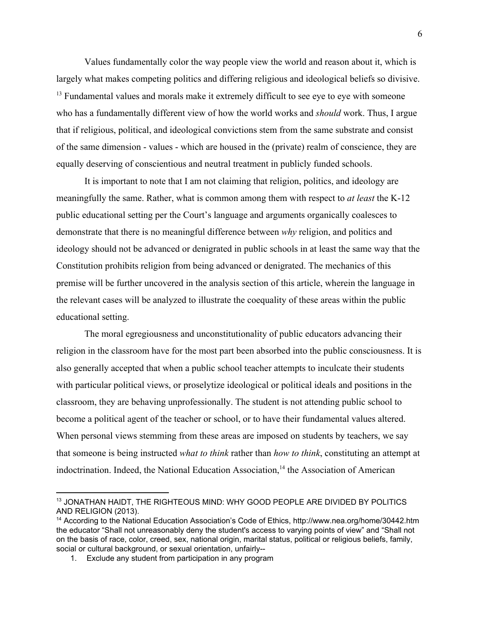Values fundamentally color the way people view the world and reason about it, which is largely what makes competing politics and differing religious and ideological beliefs so divisive.  $<sup>13</sup>$  Fundamental values and morals make it extremely difficult to see eye to eye with someone</sup> who has a fundamentally different view of how the world works and *should* work. Thus, I argue that if religious, political, and ideological convictions stem from the same substrate and consist of the same dimension - values - which are housed in the (private) realm of conscience, they are equally deserving of conscientious and neutral treatment in publicly funded schools.

It is important to note that I am not claiming that religion, politics, and ideology are meaningfully the same. Rather, what is common among them with respect to *at least* the K-12 public educational setting per the Court's language and arguments organically coalesces to demonstrate that there is no meaningful difference between *why* religion, and politics and ideology should not be advanced or denigrated in public schools in at least the same way that the Constitution prohibits religion from being advanced or denigrated. The mechanics of this premise will be further uncovered in the analysis section of this article, wherein the language in the relevant cases will be analyzed to illustrate the coequality of these areas within the public educational setting.

The moral egregiousness and unconstitutionality of public educators advancing their religion in the classroom have for the most part been absorbed into the public consciousness. It is also generally accepted that when a public school teacher attempts to inculcate their students with particular political views, or proselytize ideological or political ideals and positions in the classroom, they are behaving unprofessionally. The student is not attending public school to become a political agent of the teacher or school, or to have their fundamental values altered. When personal views stemming from these areas are imposed on students by teachers, we say that someone is being instructed *what to think* rather than *how to think*, constituting an attempt at indoctrination. Indeed, the National Education Association,<sup>14</sup> the Association of American

<sup>13</sup> JONATHAN HAIDT, THE RIGHTEOUS MIND: WHY GOOD PEOPLE ARE DIVIDED BY POLITICS AND RELIGION (2013).

<sup>14</sup> According to the National Education Association's Code of Ethics, http://www.nea.org/home/30442.htm the educator "Shall not unreasonably deny the student's access to varying points of view" and "Shall not on the basis of race, color, creed, sex, national origin, marital status, political or religious beliefs, family, social or cultural background, or sexual orientation, unfairly--

<sup>1.</sup> Exclude any student from participation in any program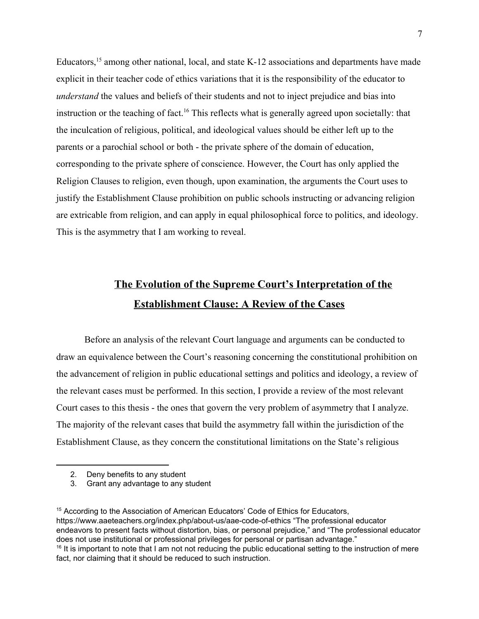Educators,  $15$  among other national, local, and state K-12 associations and departments have made explicit in their teacher code of ethics variations that it is the responsibility of the educator to *understand* the values and beliefs of their students and not to inject prejudice and bias into instruction or the teaching of fact.<sup>16</sup> This reflects what is generally agreed upon societally: that the inculcation of religious, political, and ideological values should be either left up to the parents or a parochial school or both - the private sphere of the domain of education, corresponding to the private sphere of conscience. However, the Court has only applied the Religion Clauses to religion, even though, upon examination, the arguments the Court uses to justify the Establishment Clause prohibition on public schools instructing or advancing religion are extricable from religion, and can apply in equal philosophical force to politics, and ideology. This is the asymmetry that I am working to reveal.

# **The Evolution of the Supreme Court's Interpretation of the Establishment Clause: A Review of the Cases**

Before an analysis of the relevant Court language and arguments can be conducted to draw an equivalence between the Court's reasoning concerning the constitutional prohibition on the advancement of religion in public educational settings and politics and ideology, a review of the relevant cases must be performed. In this section, I provide a review of the most relevant Court cases to this thesis - the ones that govern the very problem of asymmetry that I analyze. The majority of the relevant cases that build the asymmetry fall within the jurisdiction of the Establishment Clause, as they concern the constitutional limitations on the State's religious

<sup>15</sup> According to the Association of American Educators' Code of Ethics for Educators, https://www.aaeteachers.org/index.php/about-us/aae-code-of-ethics "The professional educator endeavors to present facts without distortion, bias, or personal prejudice," and "The professional educator does not use institutional or professional privileges for personal or partisan advantage."  $16$  It is important to note that I am not not reducing the public educational setting to the instruction of mere fact, nor claiming that it should be reduced to such instruction.

<sup>2.</sup> Deny benefits to any student

<sup>3.</sup> Grant any advantage to any student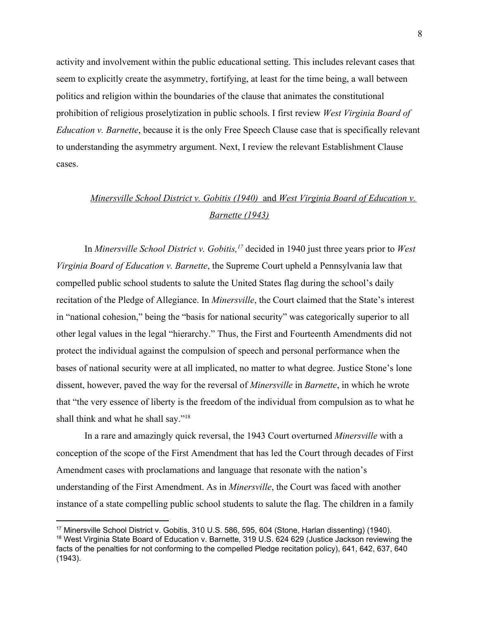activity and involvement within the public educational setting. This includes relevant cases that seem to explicitly create the asymmetry, fortifying, at least for the time being, a wall between politics and religion within the boundaries of the clause that animates the constitutional prohibition of religious proselytization in public schools. I first review *West Virginia Board of Education v. Barnette*, because it is the only Free Speech Clause case that is specifically relevant to understanding the asymmetry argument. Next, I review the relevant Establishment Clause cases.

# *Minersville School District v. Gobitis (1940)* and *West Virginia Board of Education v. Barnette (1943)*

In *Minersville School District v. Gobitis*, <sup>17</sup> decided in 1940 just three years prior to *West Virginia Board of Education v. Barnette*, the Supreme Court upheld a Pennsylvania law that compelled public school students to salute the United States flag during the school's daily recitation of the Pledge of Allegiance. In *Minersville*, the Court claimed that the State's interest in "national cohesion," being the "basis for national security" was categorically superior to all other legal values in the legal "hierarchy." Thus, the First and Fourteenth Amendments did not protect the individual against the compulsion of speech and personal performance when the bases of national security were at all implicated, no matter to what degree. Justice Stone's lone dissent, however, paved the way for the reversal of *Minersville* in *Barnette*, in which he wrote that "the very essence of liberty is the freedom of the individual from compulsion as to what he shall think and what he shall say."<sup>18</sup>

In a rare and amazingly quick reversal, the 1943 Court overturned *Minersville* with a conception of the scope of the First Amendment that has led the Court through decades of First Amendment cases with proclamations and language that resonate with the nation's understanding of the First Amendment. As in *Minersville*, the Court was faced with another instance of a state compelling public school students to salute the flag. The children in a family

<sup>17</sup> Minersville School District v. Gobitis, 310 U.S. 586, 595, 604 (Stone, Harlan dissenting) (1940).

<sup>18</sup> West Virginia State Board of Education v. Barnette*,* 319 U.S. 624 629 (Justice Jackson reviewing the facts of the penalties for not conforming to the compelled Pledge recitation policy), 641, 642, 637, 640 (1943).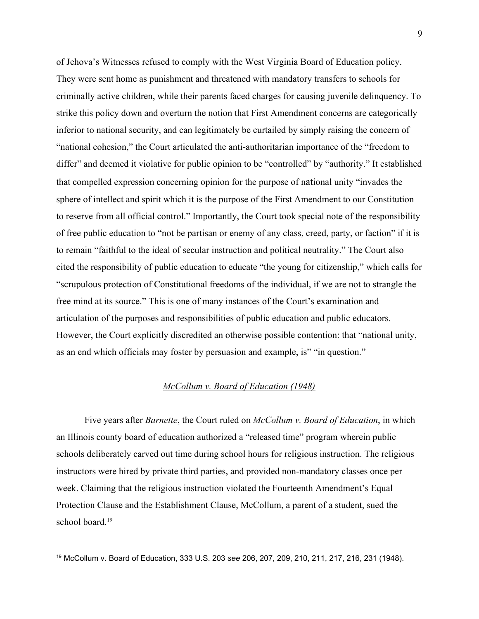of Jehova's Witnesses refused to comply with the West Virginia Board of Education policy. They were sent home as punishment and threatened with mandatory transfers to schools for criminally active children, while their parents faced charges for causing juvenile delinquency. To strike this policy down and overturn the notion that First Amendment concerns are categorically inferior to national security, and can legitimately be curtailed by simply raising the concern of "national cohesion," the Court articulated the anti-authoritarian importance of the "freedom to differ" and deemed it violative for public opinion to be "controlled" by "authority." It established that compelled expression concerning opinion for the purpose of national unity "invades the sphere of intellect and spirit which it is the purpose of the First Amendment to our Constitution to reserve from all official control." Importantly, the Court took special note of the responsibility of free public education to "not be partisan or enemy of any class, creed, party, or faction" if it is to remain "faithful to the ideal of secular instruction and political neutrality." The Court also cited the responsibility of public education to educate "the young for citizenship," which calls for "scrupulous protection of Constitutional freedoms of the individual, if we are not to strangle the free mind at its source." This is one of many instances of the Court's examination and articulation of the purposes and responsibilities of public education and public educators. However, the Court explicitly discredited an otherwise possible contention: that "national unity, as an end which officials may foster by persuasion and example, is" "in question."

#### *McCollum v. Board of Education (1948)*

Five years after *Barnette*, the Court ruled on *McCollum v. Board of Education*, in which an Illinois county board of education authorized a "released time" program wherein public schools deliberately carved out time during school hours for religious instruction. The religious instructors were hired by private third parties, and provided non-mandatory classes once per week. Claiming that the religious instruction violated the Fourteenth Amendment's Equal Protection Clause and the Establishment Clause, McCollum, a parent of a student, sued the school board $19$ 

<sup>19</sup> McCollum v. Board of Education, 333 [U.S.](https://supreme.justia.com/cases/federal/us/333/203/) 203 *see* 206, 207, 209, 210, 211, 217, 216, 231 (1948).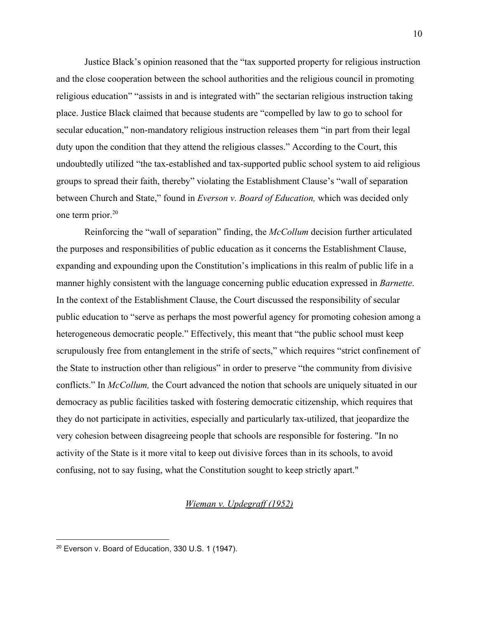Justice Black's opinion reasoned that the "tax supported property for religious instruction and the close cooperation between the school authorities and the religious council in promoting religious education" "assists in and is integrated with" the sectarian religious instruction taking place. Justice Black claimed that because students are "compelled by law to go to school for secular education," non-mandatory religious instruction releases them "in part from their legal duty upon the condition that they attend the religious classes." According to the Court, this undoubtedly utilized "the tax-established and tax-supported public school system to aid religious groups to spread their faith, thereby" violating the Establishment Clause's "wall of separation between Church and State," found in *Everson v. Board of Education,* which was decided only one term prior.<sup>20</sup>

Reinforcing the "wall of separation" finding, the *McCollum* decision further articulated the purposes and responsibilities of public education as it concerns the Establishment Clause, expanding and expounding upon the Constitution's implications in this realm of public life in a manner highly consistent with the language concerning public education expressed in *Barnette*. In the context of the Establishment Clause, the Court discussed the responsibility of secular public education to "serve as perhaps the most powerful agency for promoting cohesion among a heterogeneous democratic people." Effectively, this meant that "the public school must keep scrupulously free from entanglement in the strife of sects," which requires "strict confinement of the State to instruction other than religious" in order to preserve "the community from divisive conflicts." In *McCollum,* the Court advanced the notion that schools are uniquely situated in our democracy as public facilities tasked with fostering democratic citizenship, which requires that they do not participate in activities, especially and particularly tax-utilized, that jeopardize the very cohesion between disagreeing people that schools are responsible for fostering. "In no activity of the State is it more vital to keep out divisive forces than in its schools, to avoid confusing, not to say fusing, what the Constitution sought to keep strictly apart."

#### *Wieman v. Updegraff (1952)*

<sup>20</sup> Everson v. Board of Education, 330 [U.S.](https://supreme.justia.com/cases/federal/us/330/1/) 1 (1947).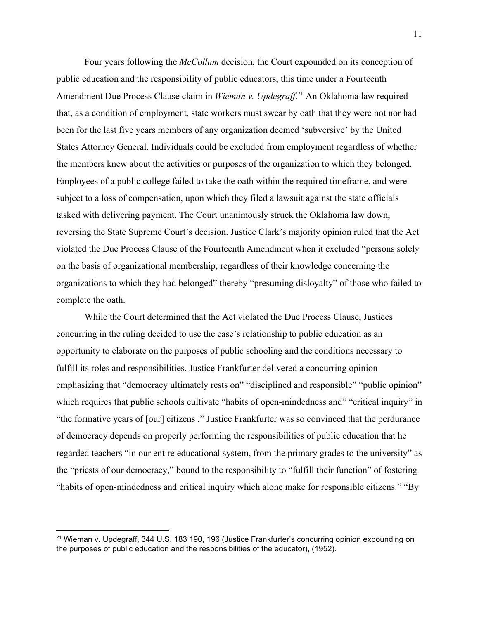Four years following the *McCollum* decision, the Court expounded on its conception of public education and the responsibility of public educators, this time under a Fourteenth Amendment Due Process Clause claim in *Wieman v. Updegraff*.<sup>21</sup> An Oklahoma law required that, as a condition of employment, state workers must swear by oath that they were not nor had been for the last five years members of any organization deemed 'subversive' by the United States Attorney General. Individuals could be excluded from employment regardless of whether the members knew about the activities or purposes of the organization to which they belonged. Employees of a public college failed to take the oath within the required timeframe, and were subject to a loss of compensation, upon which they filed a lawsuit against the state officials tasked with delivering payment. The Court unanimously struck the Oklahoma law down, reversing the State Supreme Court's decision. Justice Clark's majority opinion ruled that the Act violated the Due Process Clause of the Fourteenth Amendment when it excluded "persons solely on the basis of organizational membership, regardless of their knowledge concerning the organizations to which they had belonged" thereby "presuming disloyalty" of those who failed to complete the oath.

While the Court determined that the Act violated the Due Process Clause, Justices concurring in the ruling decided to use the case's relationship to public education as an opportunity to elaborate on the purposes of public schooling and the conditions necessary to fulfill its roles and responsibilities. Justice Frankfurter delivered a concurring opinion emphasizing that "democracy ultimately rests on" "disciplined and responsible" "public opinion" which requires that public schools cultivate "habits of open-mindedness and" "critical inquiry" in "the formative years of [our] citizens ." Justice Frankfurter was so convinced that the perdurance of democracy depends on properly performing the responsibilities of public education that he regarded teachers "in our entire educational system, from the primary grades to the university" as the "priests of our democracy," bound to the responsibility to "fulfill their function" of fostering "habits of open-mindedness and critical inquiry which alone make for responsible citizens." "By

<sup>&</sup>lt;sup>21</sup> Wieman v. Updegraff, 344 U.S. 183 190, 196 (Justice Frankfurter's concurring opinion expounding on the purposes of public education and the responsibilities of the educator), (1952).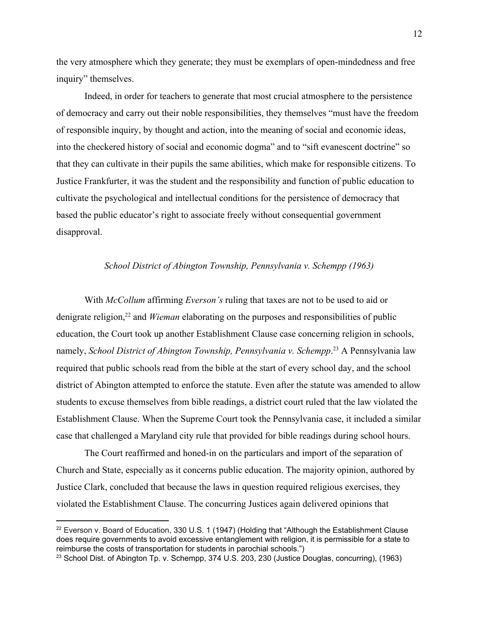the very atmosphere which they generate; they must be exemplars of open-mindedness and free inquiry" themselves.

Indeed, in order for teachers to generate that most crucial atmosphere to the persistence of democracy and carry out their noble responsibilities, they themselves "must have the freedom of responsible inquiry, by thought and action, into the meaning of social and economic ideas, into the checkered history of social and economic dogma" and to "sift evanescent doctrine" so that they can cultivate in their pupils the same abilities, which make for responsible citizens. To Justice Frankfurter, it was the student and the responsibility and function of public education to cultivate the psychological and intellectual conditions for the persistence of democracy that based the public educator's right to associate freely without consequential government disapproval.

#### *School District of Abington Township, Pennsylvania v. Schempp (1963)*

With *McCollum* affirming *Everson's* ruling that taxes are not to be used to aid or denigrate religion,<sup>22</sup> and *Wieman* elaborating on the purposes and responsibilities of public education, the Court took up another Establishment Clause case concerning religion in schools, namely, *School District of Abington Township, Pennsylvania v. Schempp*<sup>23</sup> A Pennsylvania law required that public schools read from the bible at the start of every school day, and the school district of Abington attempted to enforce the statute. Even after the statute was amended to allow students to excuse themselves from bible readings, a district court ruled that the law violated the Establishment Clause. When the Supreme Court took the Pennsylvania case, it included a similar case that challenged a Maryland city rule that provided for bible readings during school hours.

The Court reaffirmed and honed-in on the particulars and import of the separation of Church and State, especially as it concerns public education. The majority opinion, authored by Justice Clark, concluded that because the laws in question required religious exercises, they violated the Establishment Clause. The concurring Justices again delivered opinions that

 $22$  Everson v. Board of Education, 330 [U.S.](https://supreme.justia.com/cases/federal/us/330/1/) 1 (1947) (Holding that "Although the Establishment Clause does require governments to avoid excessive entanglement with religion, it is permissible for a state to reimburse the costs of transportation for students in parochial schools.")

<sup>&</sup>lt;sup>23</sup> School Dist. of Abington Tp. v. Schempp, 374 [U.S.](https://supreme.justia.com/cases/federal/us/374/203/) 203, 230 (Justice Douglas, concurring), (1963)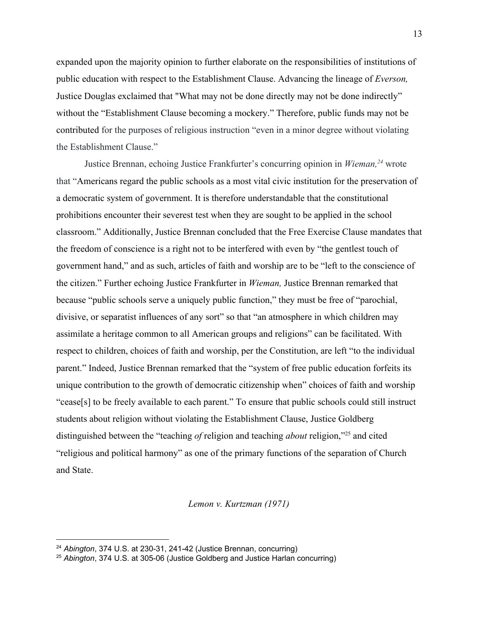expanded upon the majority opinion to further elaborate on the responsibilities of institutions of public education with respect to the Establishment Clause. Advancing the lineage of *Everson,* Justice Douglas exclaimed that "What may not be done directly may not be done indirectly" without the "Establishment Clause becoming a mockery." Therefore, public funds may not be contributed for the purposes of religious instruction "even in a minor degree without violating the Establishment Clause."

Justice Brennan, echoing Justice Frankfurter's concurring opinion in *Wieman*<sup>24</sup> wrote that "Americans regard the public schools as a most vital civic institution for the preservation of a democratic system of government. It is therefore understandable that the constitutional prohibitions encounter their severest test when they are sought to be applied in the school classroom." Additionally, Justice Brennan concluded that the Free Exercise Clause mandates that the freedom of conscience is a right not to be interfered with even by "the gentlest touch of government hand," and as such, articles of faith and worship are to be "left to the conscience of the citizen." Further echoing Justice Frankfurter in *Wieman,* Justice Brennan remarked that because "public schools serve a uniquely public function," they must be free of "parochial, divisive, or separatist influences of any sort" so that "an atmosphere in which children may assimilate a heritage common to all American groups and religions" can be facilitated. With respect to children, choices of faith and worship, per the Constitution, are left "to the individual parent." Indeed, Justice Brennan remarked that the "system of free public education forfeits its unique contribution to the growth of democratic citizenship when" choices of faith and worship "cease[s] to be freely available to each parent." To ensure that public schools could still instruct students about religion without violating the Establishment Clause, Justice Goldberg distinguished between the "teaching *of* religion and teaching *about* religion,"<sup>25</sup> and cited "religious and political harmony" as one of the primary functions of the separation of Church and State.

#### *Lemon v. Kurtzman (1971)*

<sup>24</sup> *Abington*, 374 U.S. at 230-31, 241-42 (Justice Brennan, concurring)

<sup>25</sup> *Abington*, 374 U.S. at 305-06 (Justice Goldberg and Justice Harlan concurring)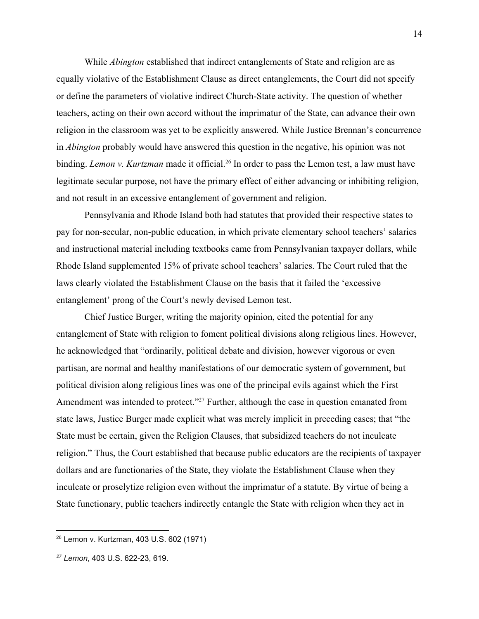While *Abington* established that indirect entanglements of State and religion are as equally violative of the Establishment Clause as direct entanglements, the Court did not specify or define the parameters of violative indirect Church-State activity. The question of whether teachers, acting on their own accord without the imprimatur of the State, can advance their own religion in the classroom was yet to be explicitly answered. While Justice Brennan's concurrence in *Abington* probably would have answered this question in the negative, his opinion was not binding. *Lemon v. Kurtzman* made it official.<sup>26</sup> In order to pass the Lemon test, a law must have legitimate secular purpose, not have the primary effect of either advancing or inhibiting religion, and not result in an excessive entanglement of government and religion.

Pennsylvania and Rhode Island both had statutes that provided their respective states to pay for non-secular, non-public education, in which private elementary school teachers' salaries and instructional material including textbooks came from Pennsylvanian taxpayer dollars, while Rhode Island supplemented 15% of private school teachers' salaries. The Court ruled that the laws clearly violated the Establishment Clause on the basis that it failed the 'excessive entanglement' prong of the Court's newly devised Lemon test.

Chief Justice Burger, writing the majority opinion, cited the potential for any entanglement of State with religion to foment political divisions along religious lines. However, he acknowledged that "ordinarily, political debate and division, however vigorous or even partisan, are normal and healthy manifestations of our democratic system of government, but political division along religious lines was one of the principal evils against which the First Amendment was intended to protect."<sup>27</sup> Further, although the case in question emanated from state laws, Justice Burger made explicit what was merely implicit in preceding cases; that "the State must be certain, given the Religion Clauses, that subsidized teachers do not inculcate religion." Thus, the Court established that because public educators are the recipients of taxpayer dollars and are functionaries of the State, they violate the Establishment Clause when they inculcate or proselytize religion even without the imprimatur of a statute. By virtue of being a State functionary, public teachers indirectly entangle the State with religion when they act in

<sup>26</sup> Lemon v. Kurtzman, 403 [U.S.](https://supreme.justia.com/cases/federal/us/403/602/) 602 (1971)

*<sup>27</sup> Lemon*, 403 [U.S.](https://supreme.justia.com/cases/federal/us/403/602/) 622-23, 619.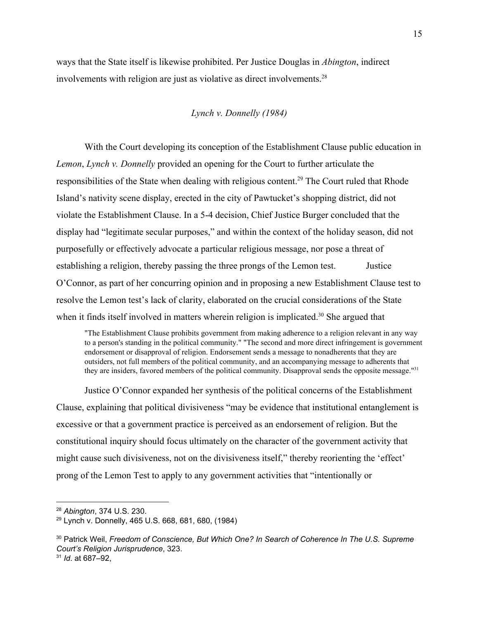ways that the State itself is likewise prohibited. Per Justice Douglas in *Abington*, indirect involvements with religion are just as violative as direct involvements.<sup>28</sup>

#### *Lynch v. Donnelly (1984)*

With the Court developing its conception of the Establishment Clause public education in *Lemon*, *Lynch v. Donnelly* provided an opening for the Court to further articulate the responsibilities of the State when dealing with religious content.<sup>29</sup> The Court ruled that Rhode Island's nativity scene display, erected in the city of Pawtucket's shopping district, did not violate the Establishment Clause. In a 5-4 decision, Chief Justice Burger concluded that the display had "legitimate secular purposes," and within the context of the holiday season, did not purposefully or effectively advocate a particular religious message, nor pose a threat of establishing a religion, thereby passing the three prongs of the Lemon test. Justice O'Connor, as part of her concurring opinion and in proposing a new Establishment Clause test to resolve the Lemon test's lack of clarity, elaborated on the crucial considerations of the State when it finds itself involved in matters wherein religion is implicated.<sup>30</sup> She argued that

"The Establishment Clause prohibits government from making adherence to a religion relevant in any way to a person's standing in the political community." "The second and more direct infringement is government endorsement or disapproval of religion. Endorsement sends a message to nonadherents that they are outsiders, not full members of the political community, and an accompanying message to adherents that they are insiders, favored members of the political community. Disapproval sends the opposite message."<sup>31</sup>

Justice O'Connor expanded her synthesis of the political concerns of the Establishment Clause, explaining that political divisiveness "may be evidence that institutional entanglement is excessive or that a government practice is perceived as an endorsement of religion. But the constitutional inquiry should focus ultimately on the character of the government activity that might cause such divisiveness, not on the divisiveness itself," thereby reorienting the 'effect' prong of the Lemon Test to apply to any government activities that "intentionally or

<sup>28</sup> *Abington*, 374 U.S. 230.

<sup>29</sup> Lynch v. Donnelly, 465 [U.S.](https://supreme.justia.com/cases/federal/us/465/668/) 668, 681, 680, (1984)

<sup>30</sup> Patrick Weil, *Freedom of Conscience, But Which One? In Search of Coherence In The U.S. Supreme Court's Religion Jurisprudence*, 323. <sup>31</sup> *Id*. at 687–92,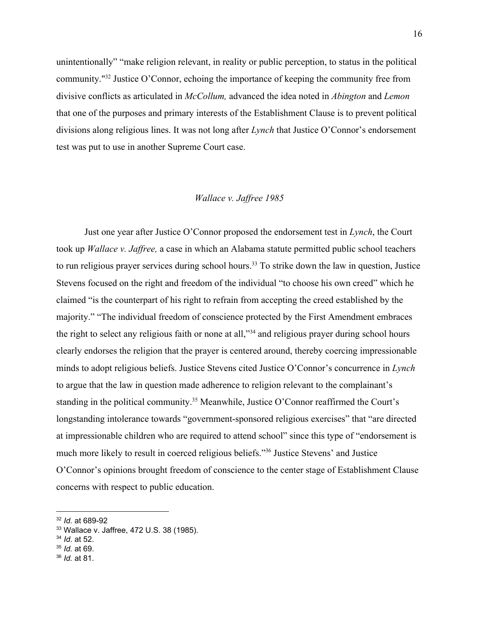unintentionally" "make religion relevant, in reality or public perception, to status in the political community."<sup>32</sup> Justice O'Connor, echoing the importance of keeping the community free from divisive conflicts as articulated in *McCollum,* advanced the idea noted in *Abington* and *Lemon* that one of the purposes and primary interests of the Establishment Clause is to prevent political divisions along religious lines. It was not long after *Lynch* that Justice O'Connor's endorsement test was put to use in another Supreme Court case.

#### *Wallace v. Jaffree 1985*

Just one year after Justice O'Connor proposed the endorsement test in *Lynch*, the Court took up *Wallace v. Jaffree,* a case in which an Alabama statute permitted public school teachers to run religious prayer services during school hours.<sup>33</sup> To strike down the law in question, Justice Stevens focused on the right and freedom of the individual "to choose his own creed" which he claimed "is the counterpart of his right to refrain from accepting the creed established by the majority." "The individual freedom of conscience protected by the First Amendment embraces the right to select any religious faith or none at all," $34$  and religious prayer during school hours clearly endorses the religion that the prayer is centered around, thereby coercing impressionable minds to adopt religious beliefs. Justice Stevens cited Justice O'Connor's concurrence in *Lynch* to argue that the law in question made adherence to religion relevant to the complainant's standing in the political community.<sup>35</sup> Meanwhile, Justice O'Connor reaffirmed the Court's longstanding intolerance towards "government-sponsored religious exercises" that "are directed at impressionable children who are required to attend school" since this type of "endorsement is much more likely to result in coerced religious beliefs."<sup>36</sup> Justice Stevens' and Justice O'Connor's opinions brought freedom of conscience to the center stage of Establishment Clause concerns with respect to public education.

- <sup>35</sup> *Id.* at 69.
- <sup>36</sup> *Id.* at 81.

<sup>32</sup> *Id.* at 689-92

<sup>33</sup> Wallace v. Jaffree, 472 [U.S.](https://supreme.justia.com/cases/federal/us/472/38/) 38 (1985).

<sup>34</sup> *Id*. at 52.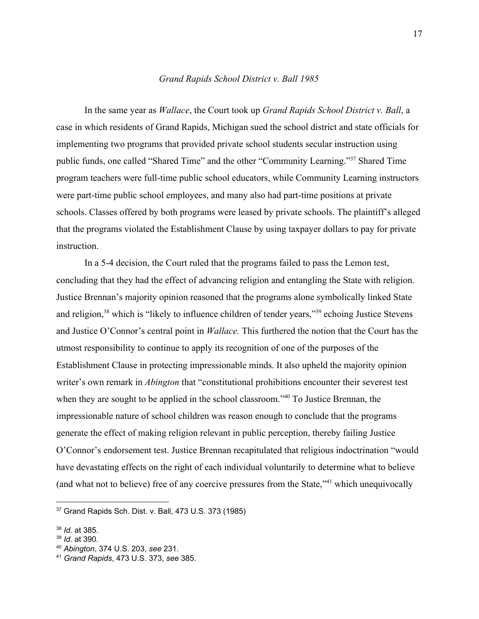#### *Grand Rapids School District v. Ball 1985*

In the same year as *Wallace*, the Court took up *Grand Rapids School District v. Ball*, a case in which residents of Grand Rapids, Michigan sued the school district and state officials for implementing two programs that provided private school students secular instruction using public funds, one called "Shared Time" and the other "Community Learning."<sup>37</sup> Shared Time program teachers were full-time public school educators, while Community Learning instructors were part-time public school employees, and many also had part-time positions at private schools. Classes offered by both programs were leased by private schools. The plaintiff's alleged that the programs violated the Establishment Clause by using taxpayer dollars to pay for private instruction.

In a 5-4 decision, the Court ruled that the programs failed to pass the Lemon test, concluding that they had the effect of advancing religion and entangling the State with religion. Justice Brennan's majority opinion reasoned that the programs alone symbolically linked State and religion,  $38$  which is "likely to influence children of tender years,"  $39$  echoing Justice Stevens and Justice O'Connor's central point in *Wallace.* This furthered the notion that the Court has the utmost responsibility to continue to apply its recognition of one of the purposes of the Establishment Clause in protecting impressionable minds. It also upheld the majority opinion writer's own remark in *Abington* that "constitutional prohibitions encounter their severest test when they are sought to be applied in the school classroom." $40$  To Justice Brennan, the impressionable nature of school children was reason enough to conclude that the programs generate the effect of making religion relevant in public perception, thereby failing Justice O'Connor's endorsement test. Justice Brennan recapitulated that religious indoctrination "would have devastating effects on the right of each individual voluntarily to determine what to believe (and what not to believe) free of any coercive pressures from the State,"<sup>41</sup> which unequivocally

<sup>37</sup> Grand Rapids Sch. Dist. v. Ball, 473 [U.S.](https://supreme.justia.com/cases/federal/us/473/373/) 373 (1985)

<sup>38</sup> *Id.* at 385.

<sup>39</sup> *Id*. at 390.

<sup>40</sup> *Abington*, 374 U.S. 203, *see* 231.

<sup>41</sup> *Grand Rapids*, 473 U.S. 373, *see* 385.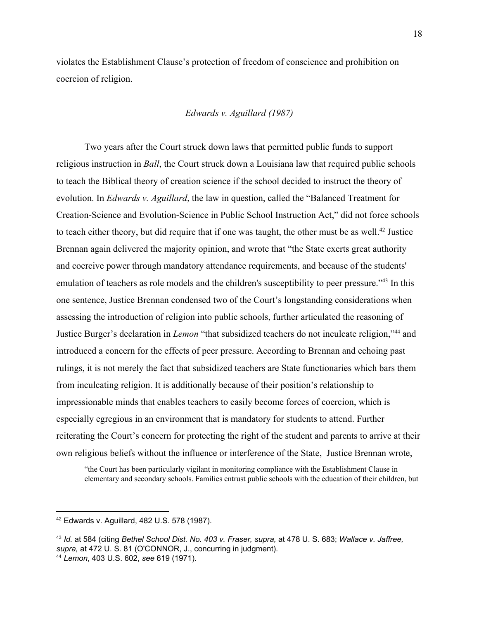violates the Establishment Clause's protection of freedom of conscience and prohibition on coercion of religion.

#### *Edwards v. Aguillard (1987)*

Two years after the Court struck down laws that permitted public funds to support religious instruction in *Ball*, the Court struck down a Louisiana law that required public schools to teach the Biblical theory of creation science if the school decided to instruct the theory of evolution. In *Edwards v. Aguillard*, the law in question, called the "Balanced Treatment for Creation-Science and Evolution-Science in Public School Instruction Act," did not force schools to teach either theory, but did require that if one was taught, the other must be as well.<sup>42</sup> Justice Brennan again delivered the majority opinion, and wrote that "the State exerts great authority and coercive power through mandatory attendance requirements, and because of the students' emulation of teachers as role models and the children's susceptibility to peer pressure."<sup>43</sup> In this one sentence, Justice Brennan condensed two of the Court's longstanding considerations when assessing the introduction of religion into public schools, further articulated the reasoning of Justice Burger's declaration in *Lemon* "that subsidized teachers do not inculcate religion,"<sup>44</sup> and introduced a concern for the effects of peer pressure. According to Brennan and echoing past rulings, it is not merely the fact that subsidized teachers are State functionaries which bars them from inculcating religion. It is additionally because of their position's relationship to impressionable minds that enables teachers to easily become forces of coercion, which is especially egregious in an environment that is mandatory for students to attend. Further reiterating the Court's concern for protecting the right of the student and parents to arrive at their own religious beliefs without the influence or interference of the State, Justice Brennan wrote,

"the Court has been particularly vigilant in monitoring compliance with the Establishment Clause in elementary and secondary schools. Families entrust public schools with the education of their children, but

<sup>42</sup> Edwards v. Aguillard, 482 [U.S.](https://supreme.justia.com/cases/federal/us/482/578/) 578 (1987).

<sup>43</sup> *Id.* at 584 (citing *Bethel School Dist. No. 403 v. Fraser, supra,* at [478](https://supreme.justia.com/cases/federal/us/478/675/case.html#683) U. S. 683; *Wallace v. Jaffree, supra,* at [472](https://supreme.justia.com/cases/federal/us/472/38/case.html#81) U. S. 81 (O'CONNOR, J., concurring in judgment). <sup>44</sup> *Lemon*, 403 U.S. 602, *see* 619 (1971).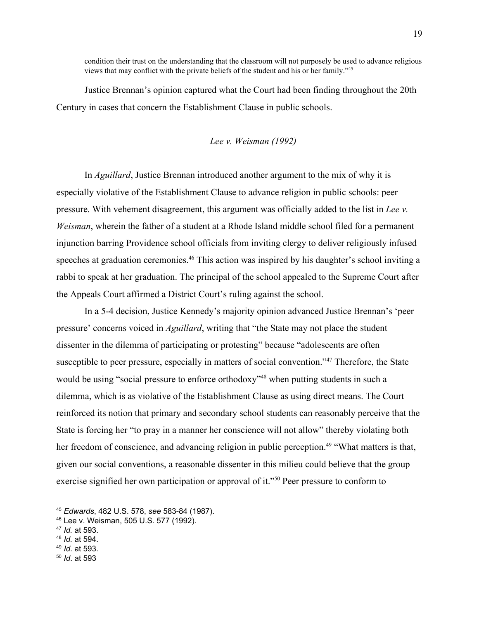condition their trust on the understanding that the classroom will not purposely be used to advance religious views that may conflict with the private beliefs of the student and his or her family." 45

Justice Brennan's opinion captured what the Court had been finding throughout the 20th Century in cases that concern the Establishment Clause in public schools.

#### *Lee v. Weisman (1992)*

In *Aguillard*, Justice Brennan introduced another argument to the mix of why it is especially violative of the Establishment Clause to advance religion in public schools: peer pressure. With vehement disagreement, this argument was officially added to the list in *Lee v. Weisman*, wherein the father of a student at a Rhode Island middle school filed for a permanent injunction barring Providence school officials from inviting clergy to deliver religiously infused speeches at graduation ceremonies.<sup>46</sup> This action was inspired by his daughter's school inviting a rabbi to speak at her graduation. The principal of the school appealed to the Supreme Court after the Appeals Court affirmed a District Court's ruling against the school.

In a 5-4 decision, Justice Kennedy's majority opinion advanced Justice Brennan's 'peer pressure' concerns voiced in *Aguillard*, writing that "the State may not place the student dissenter in the dilemma of participating or protesting" because "adolescents are often susceptible to peer pressure, especially in matters of social convention."<sup>47</sup> Therefore, the State would be using "social pressure to enforce orthodoxy"<sup>48</sup> when putting students in such a dilemma, which is as violative of the Establishment Clause as using direct means. The Court reinforced its notion that primary and secondary school students can reasonably perceive that the State is forcing her "to pray in a manner her conscience will not allow" thereby violating both her freedom of conscience, and advancing religion in public perception.<sup>49</sup> "What matters is that, given our social conventions, a reasonable dissenter in this milieu could believe that the group exercise signified her own participation or approval of it."<sup>50</sup> Peer pressure to conform to

<sup>45</sup> *Edwards*, 482 U.S. 578, *see* 583-84 (1987).

<sup>46</sup> Lee v. Weisman, 505 U.S. 577 (1992).

<sup>47</sup> *Id.* at 593.

<sup>48</sup> *Id.* at 594.

<sup>49</sup> *Id*. at 593.

<sup>50</sup> *Id*. at 593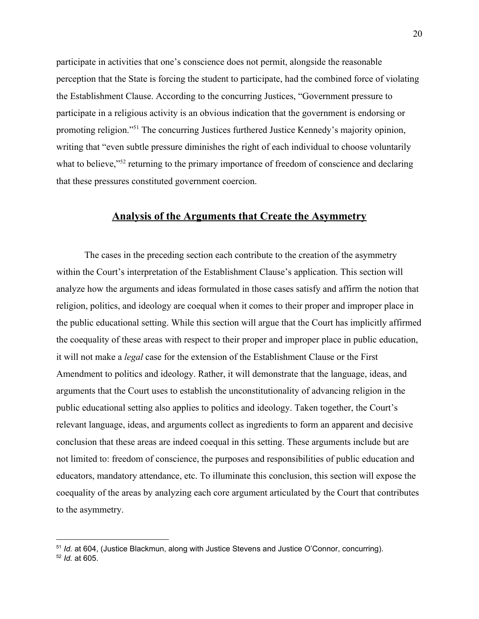participate in activities that one's conscience does not permit, alongside the reasonable perception that the State is forcing the student to participate, had the combined force of violating the Establishment Clause. According to the concurring Justices, "Government pressure to participate in a religious activity is an obvious indication that the government is endorsing or promoting religion."<sup>51</sup> The concurring Justices furthered Justice Kennedy's majority opinion, writing that "even subtle pressure diminishes the right of each individual to choose voluntarily what to believe," $52$  returning to the primary importance of freedom of conscience and declaring that these pressures constituted government coercion.

## **Analysis of the Arguments that Create the Asymmetry**

The cases in the preceding section each contribute to the creation of the asymmetry within the Court's interpretation of the Establishment Clause's application. This section will analyze how the arguments and ideas formulated in those cases satisfy and affirm the notion that religion, politics, and ideology are coequal when it comes to their proper and improper place in the public educational setting. While this section will argue that the Court has implicitly affirmed the coequality of these areas with respect to their proper and improper place in public education, it will not make a *legal* case for the extension of the Establishment Clause or the First Amendment to politics and ideology. Rather, it will demonstrate that the language, ideas, and arguments that the Court uses to establish the unconstitutionality of advancing religion in the public educational setting also applies to politics and ideology. Taken together, the Court's relevant language, ideas, and arguments collect as ingredients to form an apparent and decisive conclusion that these areas are indeed coequal in this setting. These arguments include but are not limited to: freedom of conscience, the purposes and responsibilities of public education and educators, mandatory attendance, etc. To illuminate this conclusion, this section will expose the coequality of the areas by analyzing each core argument articulated by the Court that contributes to the asymmetry.

<sup>51</sup> *Id.* at 604, (Justice Blackmun, along with Justice Stevens and Justice O'Connor, concurring). <sup>52</sup> *Id.* at 605.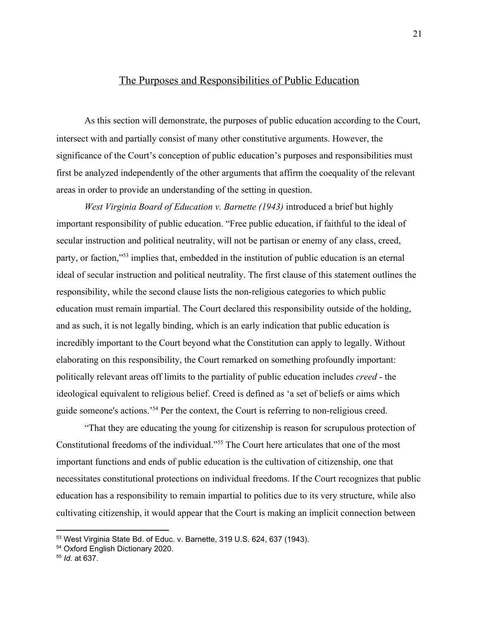## The Purposes and Responsibilities of Public Education

As this section will demonstrate, the purposes of public education according to the Court, intersect with and partially consist of many other constitutive arguments. However, the significance of the Court's conception of public education's purposes and responsibilities must first be analyzed independently of the other arguments that affirm the coequality of the relevant areas in order to provide an understanding of the setting in question.

*West Virginia Board of Education v. Barnette (1943)* introduced a brief but highly important responsibility of public education. "Free public education, if faithful to the ideal of secular instruction and political neutrality, will not be partisan or enemy of any class, creed, party, or faction,"<sup>53</sup> implies that, embedded in the institution of public education is an eternal ideal of secular instruction and political neutrality. The first clause of this statement outlines the responsibility, while the second clause lists the non-religious categories to which public education must remain impartial. The Court declared this responsibility outside of the holding, and as such, it is not legally binding, which is an early indication that public education is incredibly important to the Court beyond what the Constitution can apply to legally. Without elaborating on this responsibility, the Court remarked on something profoundly important: politically relevant areas off limits to the partiality of public education includes *creed* - the ideological equivalent to religious belief. Creed is defined as 'a set of beliefs or aims which guide someone's actions.<sup>54</sup> Per the context, the Court is referring to non-religious creed.

"That they are educating the young for citizenship is reason for scrupulous protection of Constitutional freedoms of the individual."<sup>55</sup> The Court here articulates that one of the most important functions and ends of public education is the cultivation of citizenship, one that necessitates constitutional protections on individual freedoms. If the Court recognizes that public education has a responsibility to remain impartial to politics due to its very structure, while also cultivating citizenship, it would appear that the Court is making an implicit connection between

<sup>53</sup> West Virginia State Bd. of Educ. v. Barnette, 319 [U.S.](https://supreme.justia.com/cases/federal/us/319/624/) 624, 637 (1943).

<sup>54</sup> Oxford English Dictionary 2020.

<sup>55</sup> *Id.* at 637.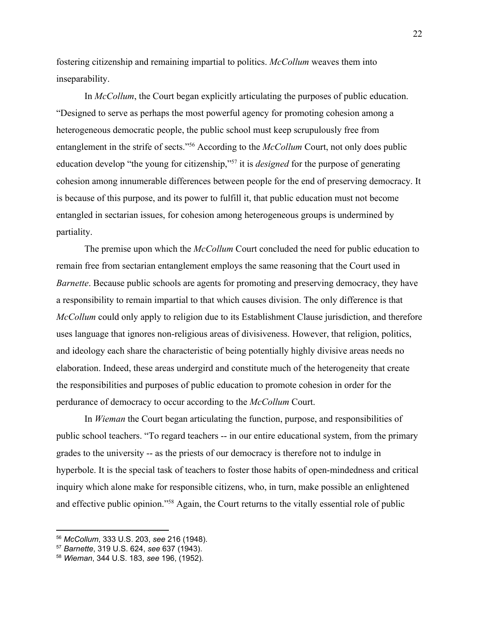fostering citizenship and remaining impartial to politics. *McCollum* weaves them into inseparability.

In *McCollum*, the Court began explicitly articulating the purposes of public education. "Designed to serve as perhaps the most powerful agency for promoting cohesion among a heterogeneous democratic people, the public school must keep scrupulously free from entanglement in the strife of sects."<sup>56</sup> According to the *McCollum* Court, not only does public education develop "the young for citizenship,"<sup>57</sup> it is *designed* for the purpose of generating cohesion among innumerable differences between people for the end of preserving democracy. It is because of this purpose, and its power to fulfill it, that public education must not become entangled in sectarian issues, for cohesion among heterogeneous groups is undermined by partiality.

The premise upon which the *McCollum* Court concluded the need for public education to remain free from sectarian entanglement employs the same reasoning that the Court used in *Barnette*. Because public schools are agents for promoting and preserving democracy, they have a responsibility to remain impartial to that which causes division. The only difference is that *McCollum* could only apply to religion due to its Establishment Clause jurisdiction, and therefore uses language that ignores non-religious areas of divisiveness. However, that religion, politics, and ideology each share the characteristic of being potentially highly divisive areas needs no elaboration. Indeed, these areas undergird and constitute much of the heterogeneity that create the responsibilities and purposes of public education to promote cohesion in order for the perdurance of democracy to occur according to the *McCollum* Court.

In *Wieman* the Court began articulating the function, purpose, and responsibilities of public school teachers. "To regard teachers -- in our entire educational system, from the primary grades to the university -- as the priests of our democracy is therefore not to indulge in hyperbole. It is the special task of teachers to foster those habits of open-mindedness and critical inquiry which alone make for responsible citizens, who, in turn, make possible an enlightened and effective public opinion."<sup>58</sup> Again, the Court returns to the vitally essential role of public

<sup>56</sup> *McCollum*, 333 U.S. 203, *see* 216 (1948).

<sup>57</sup> *Barnette*, 319 U.S. 624, *see* 637 (1943).

<sup>58</sup> *Wieman*, 344 U.S. 183, *see* 196, (1952).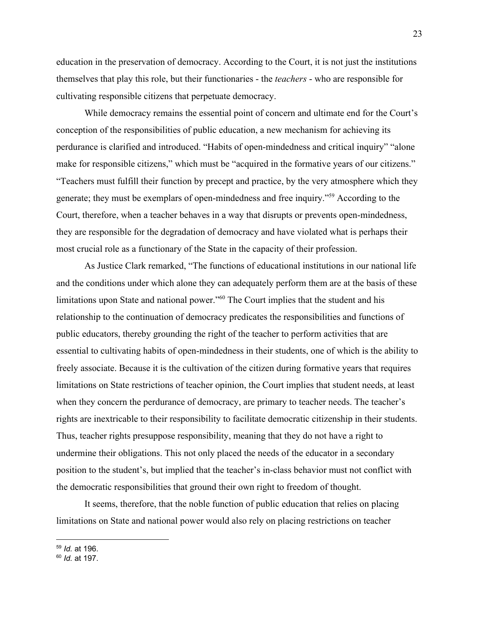education in the preservation of democracy. According to the Court, it is not just the institutions themselves that play this role, but their functionaries - the *teachers* - who are responsible for cultivating responsible citizens that perpetuate democracy.

While democracy remains the essential point of concern and ultimate end for the Court's conception of the responsibilities of public education, a new mechanism for achieving its perdurance is clarified and introduced. "Habits of open-mindedness and critical inquiry" "alone make for responsible citizens," which must be "acquired in the formative years of our citizens." "Teachers must fulfill their function by precept and practice, by the very atmosphere which they generate; they must be exemplars of open-mindedness and free inquiry."<sup>59</sup> According to the Court, therefore, when a teacher behaves in a way that disrupts or prevents open-mindedness, they are responsible for the degradation of democracy and have violated what is perhaps their most crucial role as a functionary of the State in the capacity of their profession.

As Justice Clark remarked, "The functions of educational institutions in our national life and the conditions under which alone they can adequately perform them are at the basis of these limitations upon State and national power."<sup>60</sup> The Court implies that the student and his relationship to the continuation of democracy predicates the responsibilities and functions of public educators, thereby grounding the right of the teacher to perform activities that are essential to cultivating habits of open-mindedness in their students, one of which is the ability to freely associate. Because it is the cultivation of the citizen during formative years that requires limitations on State restrictions of teacher opinion, the Court implies that student needs, at least when they concern the perdurance of democracy, are primary to teacher needs. The teacher's rights are inextricable to their responsibility to facilitate democratic citizenship in their students. Thus, teacher rights presuppose responsibility, meaning that they do not have a right to undermine their obligations. This not only placed the needs of the educator in a secondary position to the student's, but implied that the teacher's in-class behavior must not conflict with the democratic responsibilities that ground their own right to freedom of thought.

It seems, therefore, that the noble function of public education that relies on placing limitations on State and national power would also rely on placing restrictions on teacher

<sup>59</sup> *Id.* at 196.

<sup>60</sup> *Id.* at 197.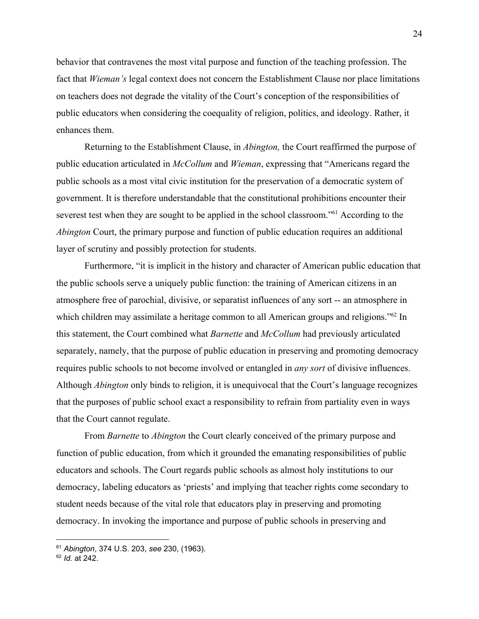behavior that contravenes the most vital purpose and function of the teaching profession. The fact that *Wieman's* legal context does not concern the Establishment Clause nor place limitations on teachers does not degrade the vitality of the Court's conception of the responsibilities of public educators when considering the coequality of religion, politics, and ideology. Rather, it enhances them.

Returning to the Establishment Clause, in *Abington,* the Court reaffirmed the purpose of public education articulated in *McCollum* and *Wieman*, expressing that "Americans regard the public schools as a most vital civic institution for the preservation of a democratic system of government. It is therefore understandable that the constitutional prohibitions encounter their severest test when they are sought to be applied in the school classroom."<sup>61</sup> According to the *Abington* Court, the primary purpose and function of public education requires an additional layer of scrutiny and possibly protection for students.

Furthermore, "it is implicit in the history and character of American public education that the public schools serve a uniquely public function: the training of American citizens in an atmosphere free of parochial, divisive, or separatist influences of any sort -- an atmosphere in which children may assimilate a heritage common to all American groups and religions." $62$  In this statement, the Court combined what *Barnette* and *McCollum* had previously articulated separately, namely, that the purpose of public education in preserving and promoting democracy requires public schools to not become involved or entangled in *any sort* of divisive influences. Although *Abington* only binds to religion, it is unequivocal that the Court's language recognizes that the purposes of public school exact a responsibility to refrain from partiality even in ways that the Court cannot regulate.

From *Barnette* to *Abington* the Court clearly conceived of the primary purpose and function of public education, from which it grounded the emanating responsibilities of public educators and schools. The Court regards public schools as almost holy institutions to our democracy, labeling educators as 'priests' and implying that teacher rights come secondary to student needs because of the vital role that educators play in preserving and promoting democracy. In invoking the importance and purpose of public schools in preserving and

<sup>61</sup> *Abington*, 374 U.S. 203, *see* 230, (1963).

<sup>62</sup> *Id.* at 242.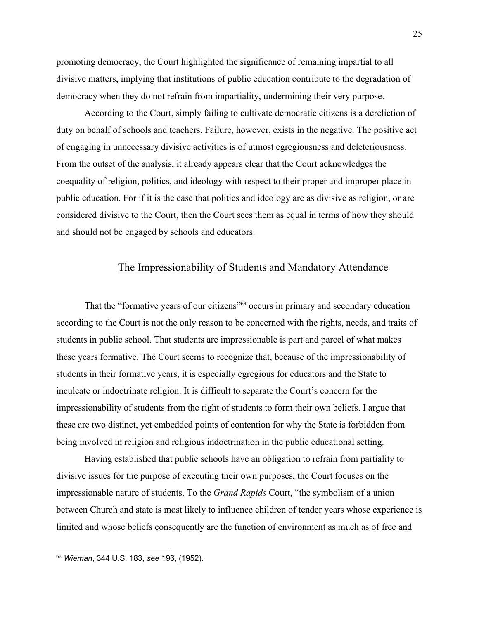promoting democracy, the Court highlighted the significance of remaining impartial to all divisive matters, implying that institutions of public education contribute to the degradation of democracy when they do not refrain from impartiality, undermining their very purpose.

According to the Court, simply failing to cultivate democratic citizens is a dereliction of duty on behalf of schools and teachers. Failure, however, exists in the negative. The positive act of engaging in unnecessary divisive activities is of utmost egregiousness and deleteriousness. From the outset of the analysis, it already appears clear that the Court acknowledges the coequality of religion, politics, and ideology with respect to their proper and improper place in public education. For if it is the case that politics and ideology are as divisive as religion, or are considered divisive to the Court, then the Court sees them as equal in terms of how they should and should not be engaged by schools and educators.

## The Impressionability of Students and Mandatory Attendance

That the "formative years of our citizens"<sup>63</sup> occurs in primary and secondary education according to the Court is not the only reason to be concerned with the rights, needs, and traits of students in public school. That students are impressionable is part and parcel of what makes these years formative. The Court seems to recognize that, because of the impressionability of students in their formative years, it is especially egregious for educators and the State to inculcate or indoctrinate religion. It is difficult to separate the Court's concern for the impressionability of students from the right of students to form their own beliefs. I argue that these are two distinct, yet embedded points of contention for why the State is forbidden from being involved in religion and religious indoctrination in the public educational setting.

Having established that public schools have an obligation to refrain from partiality to divisive issues for the purpose of executing their own purposes, the Court focuses on the impressionable nature of students. To the *Grand Rapids* Court, "the symbolism of a union between Church and state is most likely to influence children of tender years whose experience is limited and whose beliefs consequently are the function of environment as much as of free and

<sup>63</sup> *Wieman*, 344 U.S. 183, *see* 196, (1952).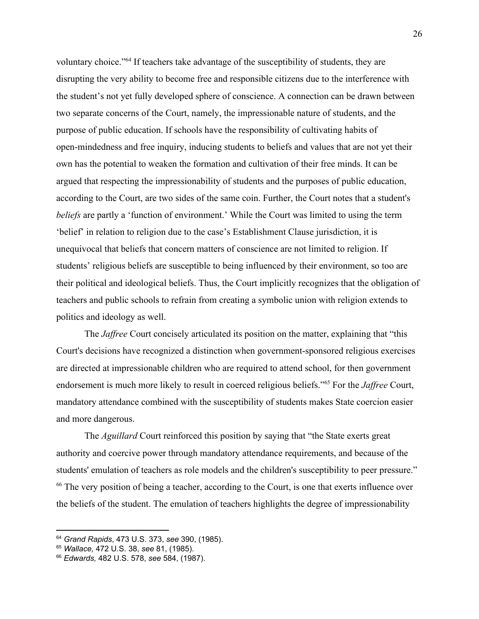voluntary choice."<sup>64</sup> If teachers take advantage of the susceptibility of students, they are disrupting the very ability to become free and responsible citizens due to the interference with the student's not yet fully developed sphere of conscience. A connection can be drawn between two separate concerns of the Court, namely, the impressionable nature of students, and the purpose of public education. If schools have the responsibility of cultivating habits of open-mindedness and free inquiry, inducing students to beliefs and values that are not yet their own has the potential to weaken the formation and cultivation of their free minds. It can be argued that respecting the impressionability of students and the purposes of public education, according to the Court, are two sides of the same coin. Further, the Court notes that a student's *beliefs* are partly a 'function of environment.' While the Court was limited to using the term 'belief' in relation to religion due to the case's Establishment Clause jurisdiction, it is unequivocal that beliefs that concern matters of conscience are not limited to religion. If students' religious beliefs are susceptible to being influenced by their environment, so too are their political and ideological beliefs. Thus, the Court implicitly recognizes that the obligation of teachers and public schools to refrain from creating a symbolic union with religion extends to politics and ideology as well.

The *Jaffree* Court concisely articulated its position on the matter, explaining that "this Court's decisions have recognized a distinction when government-sponsored religious exercises are directed at impressionable children who are required to attend school, for then government endorsement is much more likely to result in coerced religious beliefs."<sup>65</sup> For the *Jaffree* Court, mandatory attendance combined with the susceptibility of students makes State coercion easier and more dangerous.

The *Aguillard* Court reinforced this position by saying that "the State exerts great authority and coercive power through mandatory attendance requirements, and because of the students' emulation of teachers as role models and the children's susceptibility to peer pressure." <sup>66</sup> The very position of being a teacher, according to the Court, is one that exerts influence over the beliefs of the student. The emulation of teachers highlights the degree of impressionability

<sup>64</sup> *Grand Rapids*, 473 U.S. 373, *see* 390, (1985).

<sup>65</sup> *Wallace,* 472 U.S. 38, *see* 81, (1985).

<sup>66</sup> *Edwards,* 482 U.S. 578, *see* 584, (1987).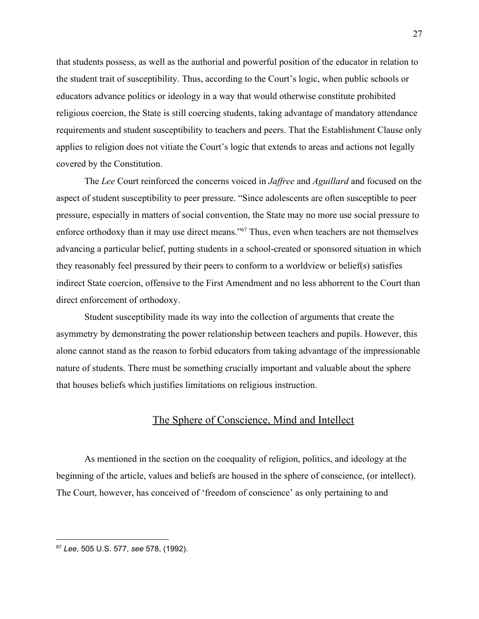that students possess, as well as the authorial and powerful position of the educator in relation to the student trait of susceptibility. Thus, according to the Court's logic, when public schools or educators advance politics or ideology in a way that would otherwise constitute prohibited religious coercion, the State is still coercing students, taking advantage of mandatory attendance requirements and student susceptibility to teachers and peers. That the Establishment Clause only applies to religion does not vitiate the Court's logic that extends to areas and actions not legally covered by the Constitution.

The *Lee* Court reinforced the concerns voiced in *Jaffree* and *Aguillard* and focused on the aspect of student susceptibility to peer pressure. "Since adolescents are often susceptible to peer pressure, especially in matters of social convention, the State may no more use social pressure to enforce orthodoxy than it may use direct means."<sup>67</sup> Thus, even when teachers are not themselves advancing a particular belief, putting students in a school-created or sponsored situation in which they reasonably feel pressured by their peers to conform to a worldview or belief(s) satisfies indirect State coercion, offensive to the First Amendment and no less abhorrent to the Court than direct enforcement of orthodoxy.

Student susceptibility made its way into the collection of arguments that create the asymmetry by demonstrating the power relationship between teachers and pupils. However, this alone cannot stand as the reason to forbid educators from taking advantage of the impressionable nature of students. There must be something crucially important and valuable about the sphere that houses beliefs which justifies limitations on religious instruction.

## The Sphere of Conscience, Mind and Intellect

As mentioned in the section on the coequality of religion, politics, and ideology at the beginning of the article, values and beliefs are housed in the sphere of conscience, (or intellect). The Court, however, has conceived of 'freedom of conscience' as only pertaining to and

<sup>67</sup> *Lee*, 505 U.S. 577, *see* 578, (1992).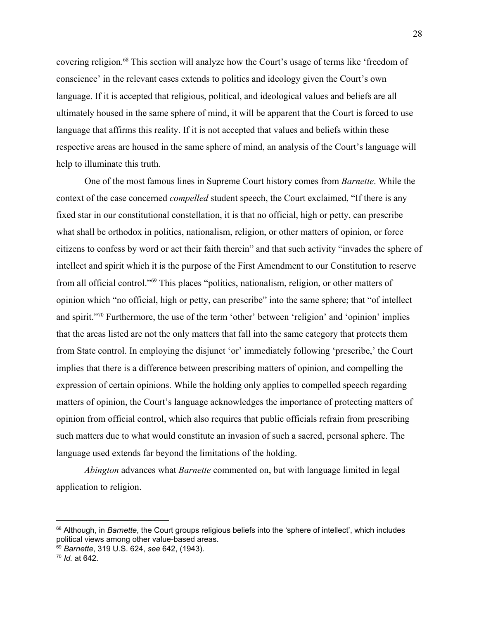covering religion.<sup>68</sup> This section will analyze how the Court's usage of terms like 'freedom of conscience' in the relevant cases extends to politics and ideology given the Court's own language. If it is accepted that religious, political, and ideological values and beliefs are all ultimately housed in the same sphere of mind, it will be apparent that the Court is forced to use language that affirms this reality. If it is not accepted that values and beliefs within these respective areas are housed in the same sphere of mind, an analysis of the Court's language will help to illuminate this truth.

One of the most famous lines in Supreme Court history comes from *Barnette*. While the context of the case concerned *compelled* student speech, the Court exclaimed, "If there is any fixed star in our constitutional constellation, it is that no official, high or petty, can prescribe what shall be orthodox in politics, nationalism, religion, or other matters of opinion, or force citizens to confess by word or act their faith therein" and that such activity "invades the sphere of intellect and spirit which it is the purpose of the First Amendment to our Constitution to reserve from all official control."<sup>69</sup> This places "politics, nationalism, religion, or other matters of opinion which "no official, high or petty, can prescribe" into the same sphere; that "of intellect and spirit."<sup>70</sup> Furthermore, the use of the term 'other' between 'religion' and 'opinion' implies that the areas listed are not the only matters that fall into the same category that protects them from State control. In employing the disjunct 'or' immediately following 'prescribe,' the Court implies that there is a difference between prescribing matters of opinion, and compelling the expression of certain opinions. While the holding only applies to compelled speech regarding matters of opinion, the Court's language acknowledges the importance of protecting matters of opinion from official control, which also requires that public officials refrain from prescribing such matters due to what would constitute an invasion of such a sacred, personal sphere. The language used extends far beyond the limitations of the holding.

*Abington* advances what *Barnette* commented on, but with language limited in legal application to religion.

<sup>&</sup>lt;sup>68</sup> Although, in *Barnette*, the Court groups religious beliefs into the 'sphere of intellect', which includes political views among other value-based areas.

<sup>69</sup> *Barnette*, 319 U.S. 624, *see* 642, (1943).

<sup>70</sup> *Id.* at 642.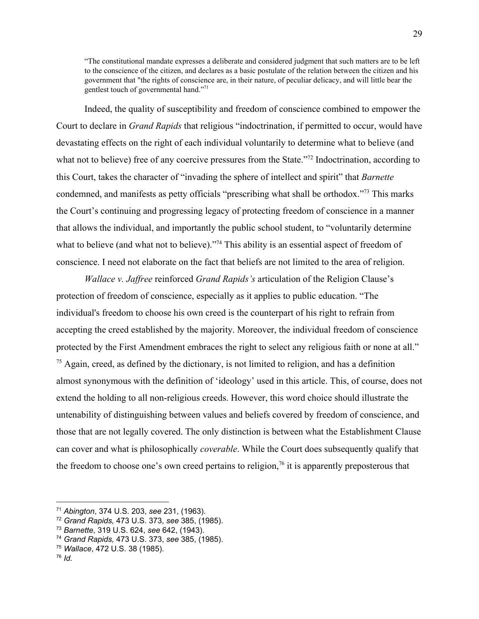"The constitutional mandate expresses a deliberate and considered judgment that such matters are to be left to the conscience of the citizen, and declares as a basic postulate of the relation between the citizen and his government that "the rights of conscience are, in their nature, of peculiar delicacy, and will little bear the gentlest touch of governmental hand."<sup>71</sup>

Indeed, the quality of susceptibility and freedom of conscience combined to empower the Court to declare in *Grand Rapids* that religious "indoctrination, if permitted to occur, would have devastating effects on the right of each individual voluntarily to determine what to believe (and what not to believe) free of any coercive pressures from the State."<sup>72</sup> Indoctrination, according to this Court, takes the character of "invading the sphere of intellect and spirit" that *Barnette* condemned, and manifests as petty officials "prescribing what shall be orthodox."<sup>73</sup> This marks the Court's continuing and progressing legacy of protecting freedom of conscience in a manner that allows the individual, and importantly the public school student, to "voluntarily determine what to believe (and what not to believe)."<sup>74</sup> This ability is an essential aspect of freedom of conscience. I need not elaborate on the fact that beliefs are not limited to the area of religion.

*Wallace v. Jaffree* reinforced *Grand Rapids's* articulation of the Religion Clause's protection of freedom of conscience, especially as it applies to public education. "The individual's freedom to choose his own creed is the counterpart of his right to refrain from accepting the creed established by the majority. Moreover, the individual freedom of conscience protected by the First Amendment embraces the right to select any religious faith or none at all."  $<sup>75</sup>$  Again, creed, as defined by the dictionary, is not limited to religion, and has a definition</sup> almost synonymous with the definition of 'ideology' used in this article. This, of course, does not extend the holding to all non-religious creeds. However, this word choice should illustrate the untenability of distinguishing between values and beliefs covered by freedom of conscience, and those that are not legally covered. The only distinction is between what the Establishment Clause can cover and what is philosophically *coverable*. While the Court does subsequently qualify that the freedom to choose one's own creed pertains to religion,  $\frac{7}{6}$  it is apparently preposterous that

<sup>71</sup> *Abington*, 374 U.S. 203, *see* 231, (1963).

<sup>72</sup> *Grand Rapids,* 473 U.S. 373, *see* 385, (1985).

<sup>73</sup> *Barnette*, 319 U.S. 624, *see* 642, (1943).

<sup>74</sup> *Grand Rapids,* 473 U.S. 373, *see* 385, (1985).

<sup>75</sup> *Wallace*, 472 U.S. 38 (1985).

<sup>76</sup> *Id.*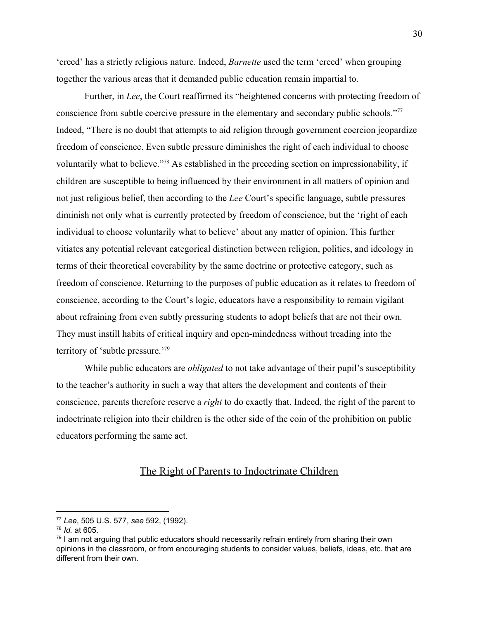'creed' has a strictly religious nature. Indeed, *Barnette* used the term 'creed' when grouping together the various areas that it demanded public education remain impartial to.

Further, in *Lee*, the Court reaffirmed its "heightened concerns with protecting freedom of conscience from subtle coercive pressure in the elementary and secondary public schools."<sup>77</sup> Indeed, "There is no doubt that attempts to aid religion through government coercion jeopardize freedom of conscience. Even subtle pressure diminishes the right of each individual to choose voluntarily what to believe."<sup>78</sup> As established in the preceding section on impressionability, if children are susceptible to being influenced by their environment in all matters of opinion and not just religious belief, then according to the *Lee* Court's specific language, subtle pressures diminish not only what is currently protected by freedom of conscience, but the 'right of each individual to choose voluntarily what to believe' about any matter of opinion. This further vitiates any potential relevant categorical distinction between religion, politics, and ideology in terms of their theoretical coverability by the same doctrine or protective category, such as freedom of conscience. Returning to the purposes of public education as it relates to freedom of conscience, according to the Court's logic, educators have a responsibility to remain vigilant about refraining from even subtly pressuring students to adopt beliefs that are not their own. They must instill habits of critical inquiry and open-mindedness without treading into the territory of 'subtle pressure.'<sup>79</sup>

While public educators are *obligated* to not take advantage of their pupil's susceptibility to the teacher's authority in such a way that alters the development and contents of their conscience, parents therefore reserve a *right* to do exactly that. Indeed, the right of the parent to indoctrinate religion into their children is the other side of the coin of the prohibition on public educators performing the same act.

## The Right of Parents to Indoctrinate Children

<sup>77</sup> *Lee*, 505 U.S. 577, *see* 592, (1992).

<sup>78</sup> *Id.* at 605.

 $79$  I am not arguing that public educators should necessarily refrain entirely from sharing their own opinions in the classroom, or from encouraging students to consider values, beliefs, ideas, etc. that are different from their own.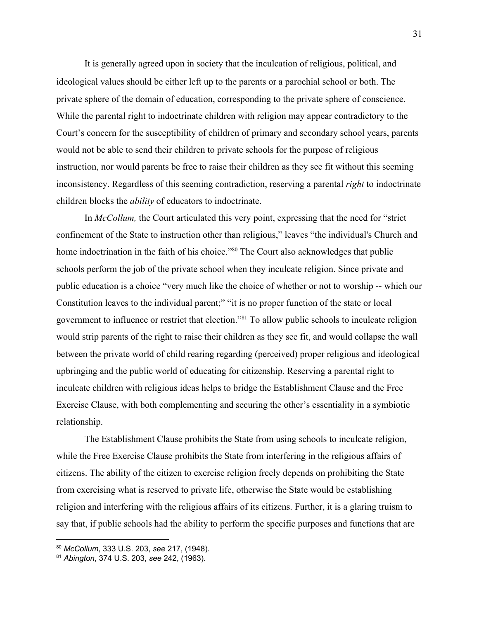It is generally agreed upon in society that the inculcation of religious, political, and ideological values should be either left up to the parents or a parochial school or both. The private sphere of the domain of education, corresponding to the private sphere of conscience. While the parental right to indoctrinate children with religion may appear contradictory to the Court's concern for the susceptibility of children of primary and secondary school years, parents would not be able to send their children to private schools for the purpose of religious instruction, nor would parents be free to raise their children as they see fit without this seeming inconsistency. Regardless of this seeming contradiction, reserving a parental *right* to indoctrinate children blocks the *ability* of educators to indoctrinate.

In *McCollum,* the Court articulated this very point, expressing that the need for "strict confinement of the State to instruction other than religious," leaves "the individual's Church and home indoctrination in the faith of his choice."<sup>80</sup> The Court also acknowledges that public schools perform the job of the private school when they inculcate religion. Since private and public education is a choice "very much like the choice of whether or not to worship -- which our Constitution leaves to the individual parent;" "it is no proper function of the state or local government to influence or restrict that election."<sup>81</sup> To allow public schools to inculcate religion would strip parents of the right to raise their children as they see fit, and would collapse the wall between the private world of child rearing regarding (perceived) proper religious and ideological upbringing and the public world of educating for citizenship. Reserving a parental right to inculcate children with religious ideas helps to bridge the Establishment Clause and the Free Exercise Clause, with both complementing and securing the other's essentiality in a symbiotic relationship.

The Establishment Clause prohibits the State from using schools to inculcate religion, while the Free Exercise Clause prohibits the State from interfering in the religious affairs of citizens. The ability of the citizen to exercise religion freely depends on prohibiting the State from exercising what is reserved to private life, otherwise the State would be establishing religion and interfering with the religious affairs of its citizens. Further, it is a glaring truism to say that, if public schools had the ability to perform the specific purposes and functions that are

<sup>80</sup> *McCollum*, 333 U.S. 203, *see* 217, (1948).

<sup>81</sup> *Abington*, 374 U.S. 203, *see* 242, (1963).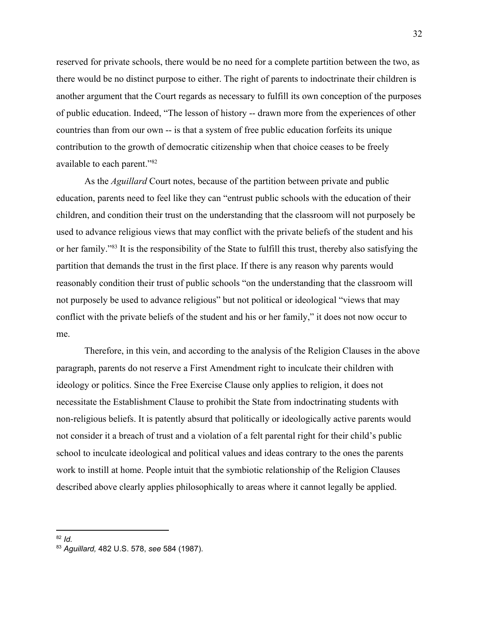reserved for private schools, there would be no need for a complete partition between the two, as there would be no distinct purpose to either. The right of parents to indoctrinate their children is another argument that the Court regards as necessary to fulfill its own conception of the purposes of public education. Indeed, "The lesson of history -- drawn more from the experiences of other countries than from our own -- is that a system of free public education forfeits its unique contribution to the growth of democratic citizenship when that choice ceases to be freely available to each parent."<sup>82</sup>

As the *Aguillard* Court notes, because of the partition between private and public education, parents need to feel like they can "entrust public schools with the education of their children, and condition their trust on the understanding that the classroom will not purposely be used to advance religious views that may conflict with the private beliefs of the student and his or her family."<sup>83</sup> It is the responsibility of the State to fulfill this trust, thereby also satisfying the partition that demands the trust in the first place. If there is any reason why parents would reasonably condition their trust of public schools "on the understanding that the classroom will not purposely be used to advance religious" but not political or ideological "views that may conflict with the private beliefs of the student and his or her family," it does not now occur to me.

Therefore, in this vein, and according to the analysis of the Religion Clauses in the above paragraph, parents do not reserve a First Amendment right to inculcate their children with ideology or politics. Since the Free Exercise Clause only applies to religion, it does not necessitate the Establishment Clause to prohibit the State from indoctrinating students with non-religious beliefs. It is patently absurd that politically or ideologically active parents would not consider it a breach of trust and a violation of a felt parental right for their child's public school to inculcate ideological and political values and ideas contrary to the ones the parents work to instill at home. People intuit that the symbiotic relationship of the Religion Clauses described above clearly applies philosophically to areas where it cannot legally be applied.

<sup>82</sup> *Id.*

<sup>83</sup> *Aguillard,* 482 U.S. 578, *see* 584 (1987).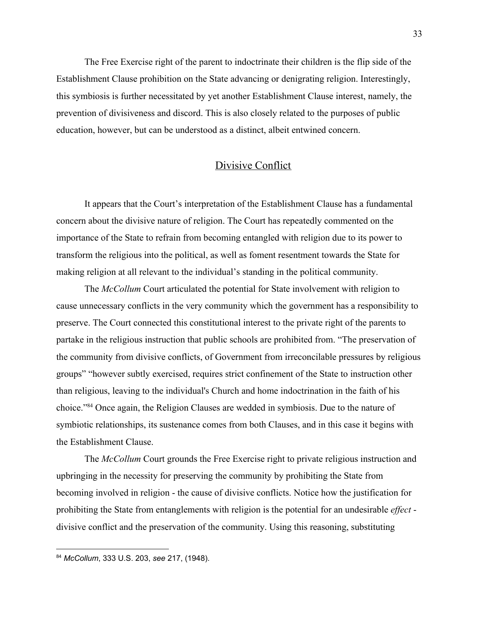The Free Exercise right of the parent to indoctrinate their children is the flip side of the Establishment Clause prohibition on the State advancing or denigrating religion. Interestingly, this symbiosis is further necessitated by yet another Establishment Clause interest, namely, the prevention of divisiveness and discord. This is also closely related to the purposes of public education, however, but can be understood as a distinct, albeit entwined concern.

### Divisive Conflict

It appears that the Court's interpretation of the Establishment Clause has a fundamental concern about the divisive nature of religion. The Court has repeatedly commented on the importance of the State to refrain from becoming entangled with religion due to its power to transform the religious into the political, as well as foment resentment towards the State for making religion at all relevant to the individual's standing in the political community.

The *McCollum* Court articulated the potential for State involvement with religion to cause unnecessary conflicts in the very community which the government has a responsibility to preserve. The Court connected this constitutional interest to the private right of the parents to partake in the religious instruction that public schools are prohibited from. "The preservation of the community from divisive conflicts, of Government from irreconcilable pressures by religious groups" "however subtly exercised, requires strict confinement of the State to instruction other than religious, leaving to the individual's Church and home indoctrination in the faith of his choice."<sup>84</sup> Once again, the Religion Clauses are wedded in symbiosis. Due to the nature of symbiotic relationships, its sustenance comes from both Clauses, and in this case it begins with the Establishment Clause.

The *McCollum* Court grounds the Free Exercise right to private religious instruction and upbringing in the necessity for preserving the community by prohibiting the State from becoming involved in religion - the cause of divisive conflicts. Notice how the justification for prohibiting the State from entanglements with religion is the potential for an undesirable *effect* divisive conflict and the preservation of the community. Using this reasoning, substituting

<sup>84</sup> *McCollum*, 333 U.S. 203, *see* 217, (1948).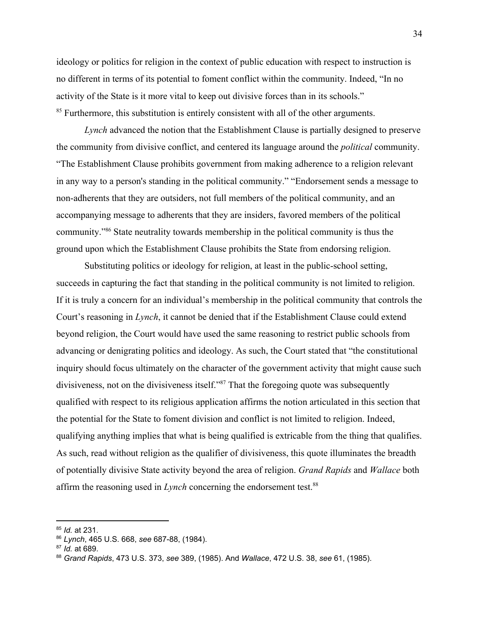ideology or politics for religion in the context of public education with respect to instruction is no different in terms of its potential to foment conflict within the community. Indeed, "In no activity of the State is it more vital to keep out divisive forces than in its schools." <sup>85</sup> Furthermore, this substitution is entirely consistent with all of the other arguments.

*Lynch* advanced the notion that the Establishment Clause is partially designed to preserve the community from divisive conflict, and centered its language around the *political* community. "The Establishment Clause prohibits government from making adherence to a religion relevant in any way to a person's standing in the political community." "Endorsement sends a message to non-adherents that they are outsiders, not full members of the political community, and an accompanying message to adherents that they are insiders, favored members of the political community."<sup>86</sup> State neutrality towards membership in the political community is thus the ground upon which the Establishment Clause prohibits the State from endorsing religion.

Substituting politics or ideology for religion, at least in the public-school setting, succeeds in capturing the fact that standing in the political community is not limited to religion. If it is truly a concern for an individual's membership in the political community that controls the Court's reasoning in *Lynch*, it cannot be denied that if the Establishment Clause could extend beyond religion, the Court would have used the same reasoning to restrict public schools from advancing or denigrating politics and ideology. As such, the Court stated that "the constitutional inquiry should focus ultimately on the character of the government activity that might cause such divisiveness, not on the divisiveness itself." $87$  That the foregoing quote was subsequently qualified with respect to its religious application affirms the notion articulated in this section that the potential for the State to foment division and conflict is not limited to religion. Indeed, qualifying anything implies that what is being qualified is extricable from the thing that qualifies. As such, read without religion as the qualifier of divisiveness, this quote illuminates the breadth of potentially divisive State activity beyond the area of religion. *Grand Rapids* and *Wallace* both affirm the reasoning used in *Lynch* concerning the endorsement test.<sup>88</sup>

<sup>85</sup> *Id.* at 231.

<sup>86</sup> *Lynch*, 465 U.S. 668, *see* 687-88, (1984).

<sup>87</sup> *Id.* at 689.

<sup>88</sup> *Grand Rapids*, 473 U.S. 373, *see* 389, (1985). And *Wallace*, 472 U.S. 38, *see* 61, (1985).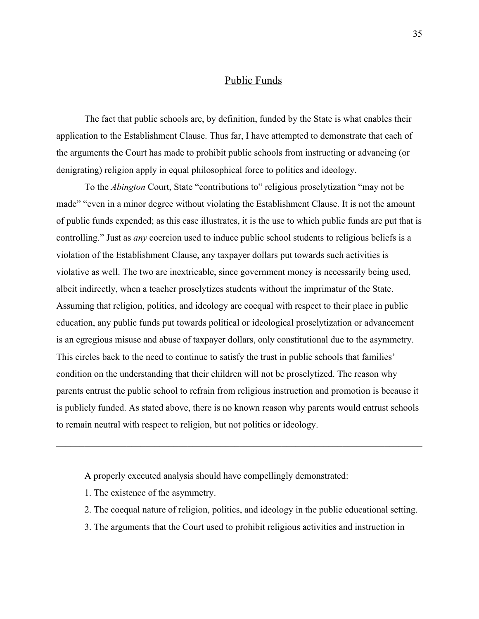## Public Funds

The fact that public schools are, by definition, funded by the State is what enables their application to the Establishment Clause. Thus far, I have attempted to demonstrate that each of the arguments the Court has made to prohibit public schools from instructing or advancing (or denigrating) religion apply in equal philosophical force to politics and ideology.

To the *Abington* Court, State "contributions to" religious proselytization "may not be made" "even in a minor degree without violating the Establishment Clause. It is not the amount of public funds expended; as this case illustrates, it is the use to which public funds are put that is controlling." Just as *any* coercion used to induce public school students to religious beliefs is a violation of the Establishment Clause, any taxpayer dollars put towards such activities is violative as well. The two are inextricable, since government money is necessarily being used, albeit indirectly, when a teacher proselytizes students without the imprimatur of the State. Assuming that religion, politics, and ideology are coequal with respect to their place in public education, any public funds put towards political or ideological proselytization or advancement is an egregious misuse and abuse of taxpayer dollars, only constitutional due to the asymmetry. This circles back to the need to continue to satisfy the trust in public schools that families' condition on the understanding that their children will not be proselytized. The reason why parents entrust the public school to refrain from religious instruction and promotion is because it is publicly funded. As stated above, there is no known reason why parents would entrust schools to remain neutral with respect to religion, but not politics or ideology.

- A properly executed analysis should have compellingly demonstrated:
- 1. The existence of the asymmetry.
- 2. The coequal nature of religion, politics, and ideology in the public educational setting.
- 3. The arguments that the Court used to prohibit religious activities and instruction in

 $\mathcal{L}_\mathcal{L} = \{ \mathcal{L}_\mathcal{L} = \{ \mathcal{L}_\mathcal{L} = \{ \mathcal{L}_\mathcal{L} = \{ \mathcal{L}_\mathcal{L} = \{ \mathcal{L}_\mathcal{L} = \{ \mathcal{L}_\mathcal{L} = \{ \mathcal{L}_\mathcal{L} = \{ \mathcal{L}_\mathcal{L} = \{ \mathcal{L}_\mathcal{L} = \{ \mathcal{L}_\mathcal{L} = \{ \mathcal{L}_\mathcal{L} = \{ \mathcal{L}_\mathcal{L} = \{ \mathcal{L}_\mathcal{L} = \{ \mathcal{L}_\mathcal{$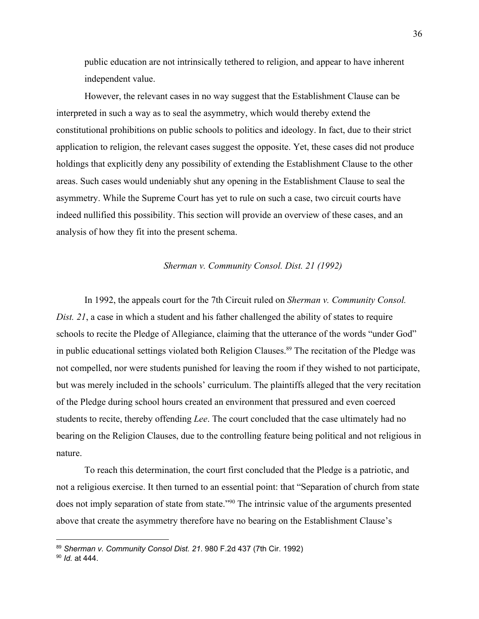public education are not intrinsically tethered to religion, and appear to have inherent independent value.

However, the relevant cases in no way suggest that the Establishment Clause can be interpreted in such a way as to seal the asymmetry, which would thereby extend the constitutional prohibitions on public schools to politics and ideology. In fact, due to their strict application to religion, the relevant cases suggest the opposite. Yet, these cases did not produce holdings that explicitly deny any possibility of extending the Establishment Clause to the other areas. Such cases would undeniably shut any opening in the Establishment Clause to seal the asymmetry. While the Supreme Court has yet to rule on such a case, two circuit courts have indeed nullified this possibility. This section will provide an overview of these cases, and an analysis of how they fit into the present schema.

#### *Sherman v. Community Consol. Dist. 21 (1992)*

In 1992, the appeals court for the 7th Circuit ruled on *Sherman v. Community Consol. Dist. 21*, a case in which a student and his father challenged the ability of states to require schools to recite the Pledge of Allegiance, claiming that the utterance of the words "under God" in public educational settings violated both Religion Clauses.<sup>89</sup> The recitation of the Pledge was not compelled, nor were students punished for leaving the room if they wished to not participate, but was merely included in the schools' curriculum. The plaintiffs alleged that the very recitation of the Pledge during school hours created an environment that pressured and even coerced students to recite, thereby offending *Lee*. The court concluded that the case ultimately had no bearing on the Religion Clauses, due to the controlling feature being political and not religious in nature.

To reach this determination, the court first concluded that the Pledge is a patriotic, and not a religious exercise. It then turned to an essential point: that "Separation of church from state does not imply separation of state from state."<sup>90</sup> The intrinsic value of the arguments presented above that create the asymmetry therefore have no bearing on the Establishment Clause's

<sup>89</sup> *Sherman v. Community Consol Dist. 21*. 980 F.2d 437 (7th Cir. 1992)

<sup>90</sup> *Id.* at 444.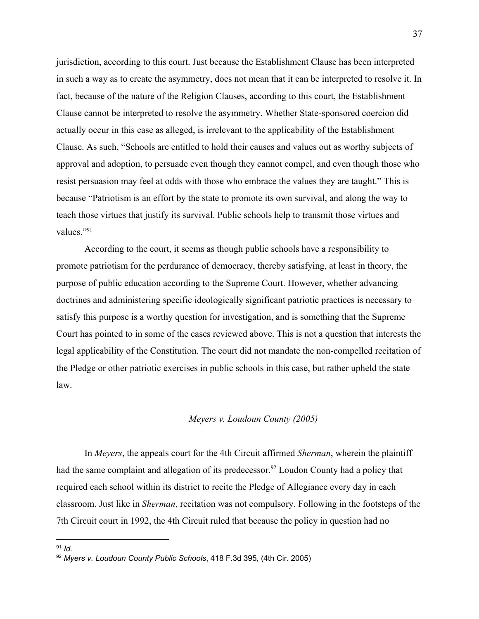jurisdiction, according to this court. Just because the Establishment Clause has been interpreted in such a way as to create the asymmetry, does not mean that it can be interpreted to resolve it. In fact, because of the nature of the Religion Clauses, according to this court, the Establishment Clause cannot be interpreted to resolve the asymmetry. Whether State-sponsored coercion did actually occur in this case as alleged, is irrelevant to the applicability of the Establishment Clause. As such, "Schools are entitled to hold their causes and values out as worthy subjects of approval and adoption, to persuade even though they cannot compel, and even though those who resist persuasion may feel at odds with those who embrace the values they are taught." This is because "Patriotism is an effort by the state to promote its own survival, and along the way to teach those virtues that justify its survival. Public schools help to transmit those virtues and values."<sup>91</sup>

According to the court, it seems as though public schools have a responsibility to promote patriotism for the perdurance of democracy, thereby satisfying, at least in theory, the purpose of public education according to the Supreme Court. However, whether advancing doctrines and administering specific ideologically significant patriotic practices is necessary to satisfy this purpose is a worthy question for investigation, and is something that the Supreme Court has pointed to in some of the cases reviewed above. This is not a question that interests the legal applicability of the Constitution. The court did not mandate the non-compelled recitation of the Pledge or other patriotic exercises in public schools in this case, but rather upheld the state law.

#### *Meyers v. Loudoun County (2005)*

In *Meyers*, the appeals court for the 4th Circuit affirmed *Sherman*, wherein the plaintiff had the same complaint and allegation of its predecessor.<sup>92</sup> Loudon County had a policy that required each school within its district to recite the Pledge of Allegiance every day in each classroom. Just like in *Sherman*, recitation was not compulsory. Following in the footsteps of the 7th Circuit court in 1992, the 4th Circuit ruled that because the policy in question had no

<sup>91</sup> *Id.*

<sup>92</sup> *Myers v. Loudoun County Public Schools*, 418 F.3d 395, (4th Cir. 2005)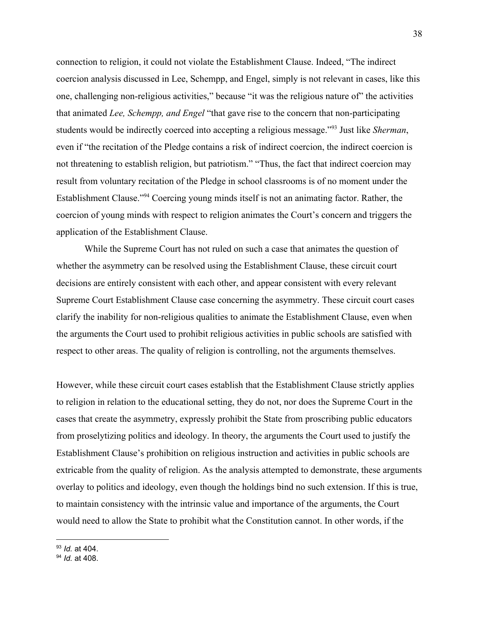connection to religion, it could not violate the Establishment Clause. Indeed, "The indirect coercion analysis discussed in Lee, Schempp, and Engel, simply is not relevant in cases, like this one, challenging non-religious activities," because "it was the religious nature of" the activities that animated *Lee, Schempp, and Engel* "that gave rise to the concern that non-participating students would be indirectly coerced into accepting a religious message."<sup>93</sup> Just like *Sherman*, even if "the recitation of the Pledge contains a risk of indirect coercion, the indirect coercion is not threatening to establish religion, but patriotism." "Thus, the fact that indirect coercion may result from voluntary recitation of the Pledge in school classrooms is of no moment under the Establishment Clause."<sup>94</sup> Coercing young minds itself is not an animating factor. Rather, the coercion of young minds with respect to religion animates the Court's concern and triggers the application of the Establishment Clause.

While the Supreme Court has not ruled on such a case that animates the question of whether the asymmetry can be resolved using the Establishment Clause, these circuit court decisions are entirely consistent with each other, and appear consistent with every relevant Supreme Court Establishment Clause case concerning the asymmetry. These circuit court cases clarify the inability for non-religious qualities to animate the Establishment Clause, even when the arguments the Court used to prohibit religious activities in public schools are satisfied with respect to other areas. The quality of religion is controlling, not the arguments themselves.

However, while these circuit court cases establish that the Establishment Clause strictly applies to religion in relation to the educational setting, they do not, nor does the Supreme Court in the cases that create the asymmetry, expressly prohibit the State from proscribing public educators from proselytizing politics and ideology. In theory, the arguments the Court used to justify the Establishment Clause's prohibition on religious instruction and activities in public schools are extricable from the quality of religion. As the analysis attempted to demonstrate, these arguments overlay to politics and ideology, even though the holdings bind no such extension. If this is true, to maintain consistency with the intrinsic value and importance of the arguments, the Court would need to allow the State to prohibit what the Constitution cannot. In other words, if the

<sup>93</sup> *Id.* at 404.

<sup>94</sup> *Id.* at 408.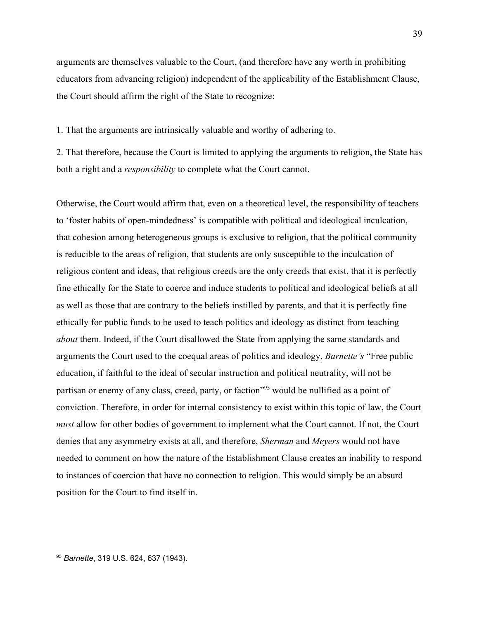arguments are themselves valuable to the Court, (and therefore have any worth in prohibiting educators from advancing religion) independent of the applicability of the Establishment Clause, the Court should affirm the right of the State to recognize:

1. That the arguments are intrinsically valuable and worthy of adhering to.

2. That therefore, because the Court is limited to applying the arguments to religion, the State has both a right and a *responsibility* to complete what the Court cannot.

Otherwise, the Court would affirm that, even on a theoretical level, the responsibility of teachers to 'foster habits of open-mindedness' is compatible with political and ideological inculcation, that cohesion among heterogeneous groups is exclusive to religion, that the political community is reducible to the areas of religion, that students are only susceptible to the inculcation of religious content and ideas, that religious creeds are the only creeds that exist, that it is perfectly fine ethically for the State to coerce and induce students to political and ideological beliefs at all as well as those that are contrary to the beliefs instilled by parents, and that it is perfectly fine ethically for public funds to be used to teach politics and ideology as distinct from teaching *about* them. Indeed, if the Court disallowed the State from applying the same standards and arguments the Court used to the coequal areas of politics and ideology, *Barnette's* "Free public education, if faithful to the ideal of secular instruction and political neutrality, will not be partisan or enemy of any class, creed, party, or faction<sup>"95</sup> would be nullified as a point of conviction. Therefore, in order for internal consistency to exist within this topic of law, the Court *must* allow for other bodies of government to implement what the Court cannot. If not, the Court denies that any asymmetry exists at all, and therefore, *Sherman* and *Meyers* would not have needed to comment on how the nature of the Establishment Clause creates an inability to respond to instances of coercion that have no connection to religion. This would simply be an absurd position for the Court to find itself in.

<sup>95</sup> *Barnette*, 319 [U.S.](https://supreme.justia.com/cases/federal/us/319/624/) 624, 637 (1943).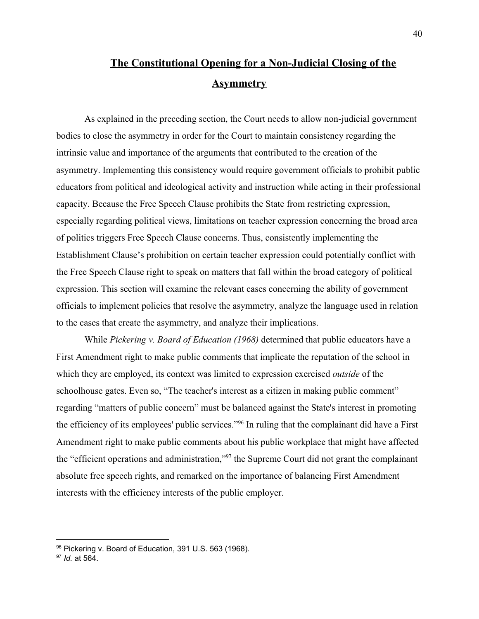# **The Constitutional Opening for a Non-Judicial Closing of the Asymmetry**

As explained in the preceding section, the Court needs to allow non-judicial government bodies to close the asymmetry in order for the Court to maintain consistency regarding the intrinsic value and importance of the arguments that contributed to the creation of the asymmetry. Implementing this consistency would require government officials to prohibit public educators from political and ideological activity and instruction while acting in their professional capacity. Because the Free Speech Clause prohibits the State from restricting expression, especially regarding political views, limitations on teacher expression concerning the broad area of politics triggers Free Speech Clause concerns. Thus, consistently implementing the Establishment Clause's prohibition on certain teacher expression could potentially conflict with the Free Speech Clause right to speak on matters that fall within the broad category of political expression. This section will examine the relevant cases concerning the ability of government officials to implement policies that resolve the asymmetry, analyze the language used in relation to the cases that create the asymmetry, and analyze their implications.

While *Pickering v. Board of Education (1968)* determined that public educators have a First Amendment right to make public comments that implicate the reputation of the school in which they are employed, its context was limited to expression exercised *outside* of the schoolhouse gates. Even so, "The teacher's interest as a citizen in making public comment" regarding "matters of public concern" must be balanced against the State's interest in promoting the efficiency of its employees' public services."<sup>96</sup> In ruling that the complainant did have a First Amendment right to make public comments about his public workplace that might have affected the "efficient operations and administration,"<sup>97</sup> the Supreme Court did not grant the complainant absolute free speech rights, and remarked on the importance of balancing First Amendment interests with the efficiency interests of the public employer.

<sup>96</sup> Pickering v. Board of Education, 391 [U.S.](https://supreme.justia.com/cases/federal/us/391/563/) 563 (1968).

<sup>97</sup> *Id.* at 564.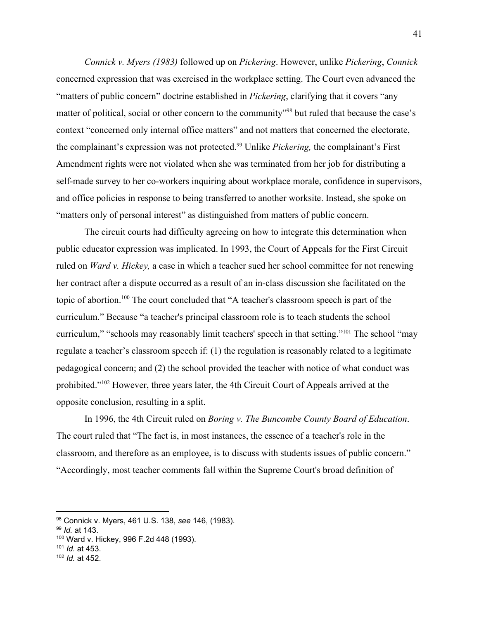*Connick v. Myers (1983)* followed up on *Pickering*. However, unlike *Pickering*, *Connick* concerned expression that was exercised in the workplace setting. The Court even advanced the "matters of public concern" doctrine established in *Pickering*, clarifying that it covers "any matter of political, social or other concern to the community<sup>"98</sup> but ruled that because the case's context "concerned only internal office matters" and not matters that concerned the electorate, the complainant's expression was not protected.<sup>99</sup> Unlike *Pickering*, the complainant's First Amendment rights were not violated when she was terminated from her job for distributing a self-made survey to her co-workers inquiring about workplace morale, confidence in supervisors, and office policies in response to being transferred to another worksite. Instead, she spoke on "matters only of personal interest" as distinguished from matters of public concern.

The circuit courts had difficulty agreeing on how to integrate this determination when public educator expression was implicated. In 1993, the Court of Appeals for the First Circuit ruled on *Ward v. Hickey,* a case in which a teacher sued her school committee for not renewing her contract after a dispute occurred as a result of an in-class discussion she facilitated on the topic of abortion.<sup>100</sup> The court concluded that "A teacher's classroom speech is part of the curriculum." Because "a teacher's principal classroom role is to teach students the school curriculum," "schools may reasonably limit teachers' speech in that setting."<sup>101</sup> The school "may regulate a teacher's classroom speech if: (1) the regulation is reasonably related to a legitimate pedagogical concern; and (2) the school provided the teacher with notice of what conduct was prohibited." $102$  However, three years later, the 4th Circuit Court of Appeals arrived at the opposite conclusion, resulting in a split.

In 1996, the 4th Circuit ruled on *Boring v. The Buncombe County Board of Education*. The court ruled that "The fact is, in most instances, the essence of a teacher's role in the classroom, and therefore as an employee, is to discuss with students issues of public concern." "Accordingly, most teacher comments fall within the Supreme Court's broad definition of

<sup>98</sup> Connick v. Myers, 461 U.S. 138, *see* 146, (1983).

<sup>99</sup> *Id.* at 143.

<sup>100</sup> Ward v. Hickey, 996 F.2d 448 (1993).

<sup>101</sup> *Id.* at 453.

<sup>102</sup> *Id.* at 452.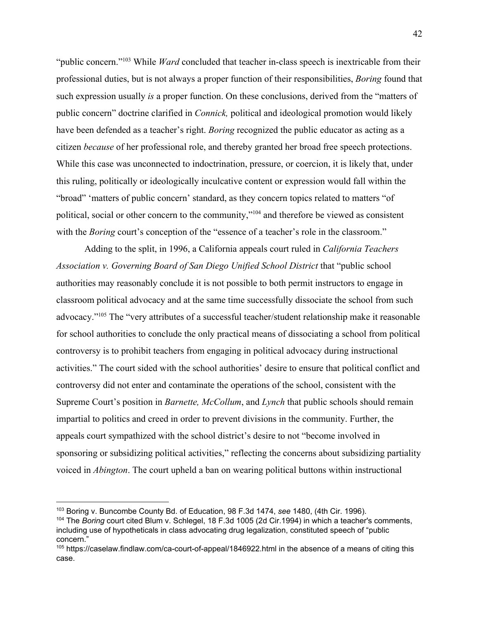"public concern."<sup>103</sup> While *Ward* concluded that teacher in-class speech is inextricable from their professional duties, but is not always a proper function of their responsibilities, *Boring* found that such expression usually *is* a proper function. On these conclusions, derived from the "matters of public concern" doctrine clarified in *Connick,* political and ideological promotion would likely have been defended as a teacher's right. *Boring* recognized the public educator as acting as a citizen *because* of her professional role, and thereby granted her broad free speech protections. While this case was unconnected to indoctrination, pressure, or coercion, it is likely that, under this ruling, politically or ideologically inculcative content or expression would fall within the "broad" 'matters of public concern' standard, as they concern topics related to matters "of political, social or other concern to the community," $104$  and therefore be viewed as consistent with the *Boring* court's conception of the "essence of a teacher's role in the classroom."

Adding to the split, in 1996, a California appeals court ruled in *California Teachers Association v. Governing Board of San Diego Unified School District* that "public school authorities may reasonably conclude it is not possible to both permit instructors to engage in classroom political advocacy and at the same time successfully dissociate the school from such advocacy."<sup>105</sup> The "very attributes of a successful teacher/student relationship make it reasonable for school authorities to conclude the only practical means of dissociating a school from political controversy is to prohibit teachers from engaging in political advocacy during instructional activities." The court sided with the school authorities' desire to ensure that political conflict and controversy did not enter and contaminate the operations of the school, consistent with the Supreme Court's position in *Barnette, McCollum*, and *Lynch* that public schools should remain impartial to politics and creed in order to prevent divisions in the community. Further, the appeals court sympathized with the school district's desire to not "become involved in sponsoring or subsidizing political activities," reflecting the concerns about subsidizing partiality voiced in *Abington*. The court upheld a ban on wearing political buttons within instructional

<sup>103</sup> Boring v. Buncombe County Bd. of Education, 98 F.3d 1474, *see* 1480, (4th Cir. 1996).

<sup>104</sup> The *Boring* court cited Blum v. Schlegel, 18 F.3d 1005 (2d Cir.1994) in which a teacher's comments, including use of hypotheticals in class advocating drug legalization, constituted speech of "public concern."

<sup>105</sup> https://caselaw.findlaw.com/ca-court-of-appeal/1846922.html in the absence of a means of citing this case.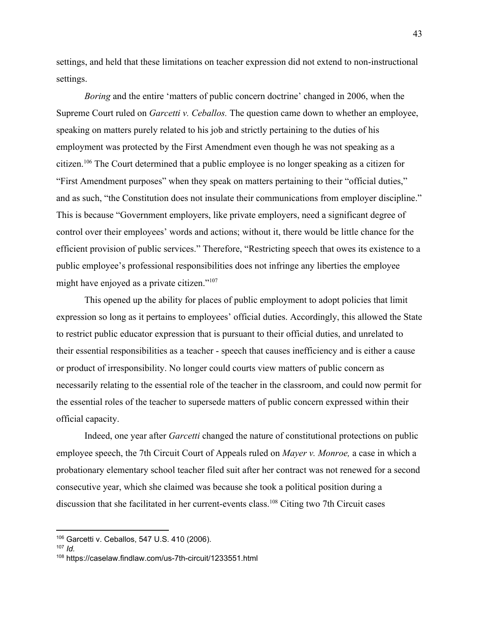settings, and held that these limitations on teacher expression did not extend to non-instructional settings.

*Boring* and the entire 'matters of public concern doctrine' changed in 2006, when the Supreme Court ruled on *Garcetti v. Ceballos.* The question came down to whether an employee, speaking on matters purely related to his job and strictly pertaining to the duties of his employment was protected by the First Amendment even though he was not speaking as a citizen.<sup>106</sup> The Court determined that a public employee is no longer speaking as a citizen for "First Amendment purposes" when they speak on matters pertaining to their "official duties," and as such, "the Constitution does not insulate their communications from employer discipline." This is because "Government employers, like private employers, need a significant degree of control over their employees' words and actions; without it, there would be little chance for the efficient provision of public services." Therefore, "Restricting speech that owes its existence to a public employee's professional responsibilities does not infringe any liberties the employee might have enjoyed as a private citizen."<sup>107</sup>

This opened up the ability for places of public employment to adopt policies that limit expression so long as it pertains to employees' official duties. Accordingly, this allowed the State to restrict public educator expression that is pursuant to their official duties, and unrelated to their essential responsibilities as a teacher - speech that causes inefficiency and is either a cause or product of irresponsibility. No longer could courts view matters of public concern as necessarily relating to the essential role of the teacher in the classroom, and could now permit for the essential roles of the teacher to supersede matters of public concern expressed within their official capacity.

Indeed, one year after *Garcetti* changed the nature of constitutional protections on public employee speech, the 7th Circuit Court of Appeals ruled on *Mayer v. Monroe,* a case in which a probationary elementary school teacher filed suit after her contract was not renewed for a second consecutive year, which she claimed was because she took a political position during a discussion that she facilitated in her current-events class.<sup>108</sup> Citing two 7th Circuit cases

<sup>106</sup> Garcetti v. Ceballos, 547 U.S. 410 (2006).

<sup>107</sup> *Id.*

<sup>108</sup> https://caselaw.findlaw.com/us-7th-circuit/1233551.html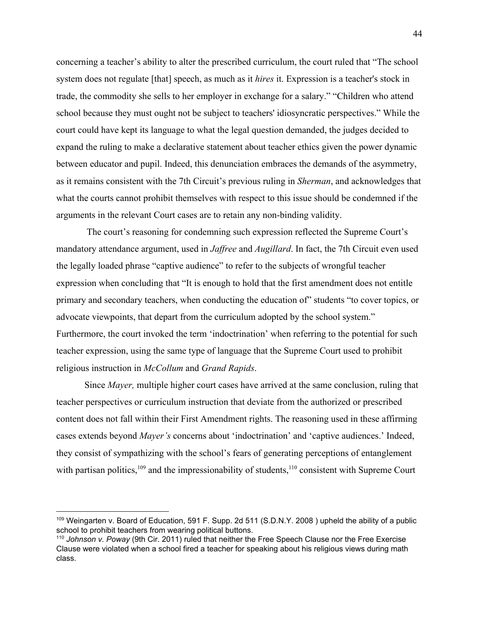concerning a teacher's ability to alter the prescribed curriculum, the court ruled that "The school system does not regulate [that] speech, as much as it *hires* it. Expression is a teacher's stock in trade, the commodity she sells to her employer in exchange for a salary." "Children who attend school because they must ought not be subject to teachers' idiosyncratic perspectives." While the court could have kept its language to what the legal question demanded, the judges decided to expand the ruling to make a declarative statement about teacher ethics given the power dynamic between educator and pupil. Indeed, this denunciation embraces the demands of the asymmetry, as it remains consistent with the 7th Circuit's previous ruling in *Sherman*, and acknowledges that what the courts cannot prohibit themselves with respect to this issue should be condemned if the arguments in the relevant Court cases are to retain any non-binding validity.

 The court's reasoning for condemning such expression reflected the Supreme Court's mandatory attendance argument, used in *Jaffree* and *Augillard*. In fact, the 7th Circuit even used the legally loaded phrase "captive audience" to refer to the subjects of wrongful teacher expression when concluding that "It is enough to hold that the first amendment does not entitle primary and secondary teachers, when conducting the education of" students "to cover topics, or advocate viewpoints, that depart from the curriculum adopted by the school system." Furthermore, the court invoked the term 'indoctrination' when referring to the potential for such teacher expression, using the same type of language that the Supreme Court used to prohibit religious instruction in *McCollum* and *Grand Rapids*.

Since *Mayer,* multiple higher court cases have arrived at the same conclusion, ruling that teacher perspectives or curriculum instruction that deviate from the authorized or prescribed content does not fall within their First Amendment rights. The reasoning used in these affirming cases extends beyond *Mayer's* concerns about 'indoctrination' and 'captive audiences.' Indeed, they consist of sympathizing with the school's fears of generating perceptions of entanglement with partisan politics,  $109$  and the impressionability of students,  $110$  consistent with Supreme Court

<sup>109</sup> Weingarten v. Board of Education, 591 F. Supp. 2d 511 (S.D.N.Y. 2008 ) upheld the ability of a public school to prohibit teachers from wearing political buttons.

<sup>110</sup> *Johnson v. Poway* (9th Cir. 2011) ruled that neither the Free Speech Clause nor the Free Exercise Clause were violated when a school fired a teacher for speaking about his religious views during math class.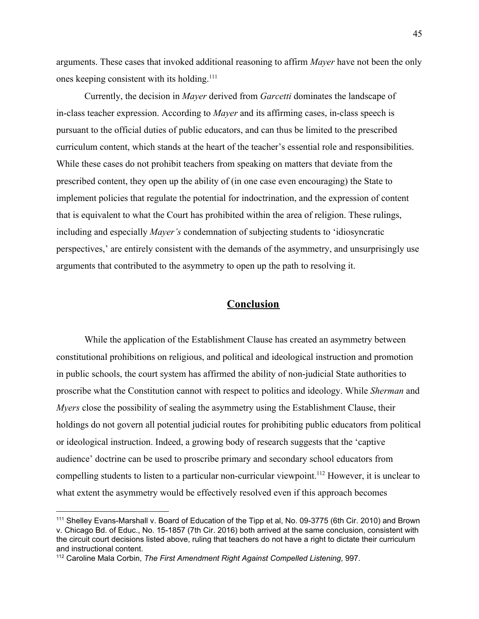arguments. These cases that invoked additional reasoning to affirm *Mayer* have not been the only ones keeping consistent with its holding.<sup>111</sup>

Currently, the decision in *Mayer* derived from *Garcetti* dominates the landscape of in-class teacher expression. According to *Mayer* and its affirming cases, in-class speech is pursuant to the official duties of public educators, and can thus be limited to the prescribed curriculum content, which stands at the heart of the teacher's essential role and responsibilities. While these cases do not prohibit teachers from speaking on matters that deviate from the prescribed content, they open up the ability of (in one case even encouraging) the State to implement policies that regulate the potential for indoctrination, and the expression of content that is equivalent to what the Court has prohibited within the area of religion. These rulings, including and especially *Mayer's* condemnation of subjecting students to 'idiosyncratic perspectives,' are entirely consistent with the demands of the asymmetry, and unsurprisingly use arguments that contributed to the asymmetry to open up the path to resolving it.

#### **Conclusion**

While the application of the Establishment Clause has created an asymmetry between constitutional prohibitions on religious, and political and ideological instruction and promotion in public schools, the court system has affirmed the ability of non-judicial State authorities to proscribe what the Constitution cannot with respect to politics and ideology. While *Sherman* and *Myers* close the possibility of sealing the asymmetry using the Establishment Clause, their holdings do not govern all potential judicial routes for prohibiting public educators from political or ideological instruction. Indeed, a growing body of research suggests that the 'captive audience' doctrine can be used to proscribe primary and secondary school educators from compelling students to listen to a particular non-curricular viewpoint.<sup>112</sup> However, it is unclear to what extent the asymmetry would be effectively resolved even if this approach becomes

<sup>111</sup> Shelley Evans-Marshall v. Board of Education of the Tipp et al, No. 09-3775 (6th Cir. 2010) and Brown v. Chicago Bd. of Educ., No. 15-1857 (7th Cir. 2016) both arrived at the same conclusion, consistent with the circuit court decisions listed above, ruling that teachers do not have a right to dictate their curriculum and instructional content.

<sup>112</sup> Caroline Mala Corbin, *The First Amendment Right Against Compelled Listening*, 997.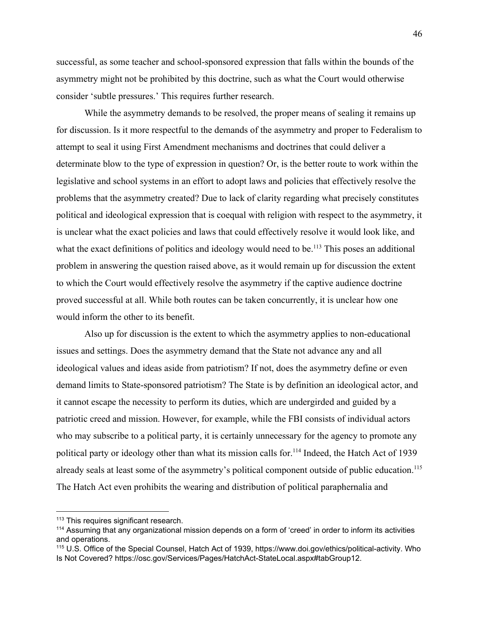successful, as some teacher and school-sponsored expression that falls within the bounds of the asymmetry might not be prohibited by this doctrine, such as what the Court would otherwise consider 'subtle pressures.' This requires further research.

While the asymmetry demands to be resolved, the proper means of sealing it remains up for discussion. Is it more respectful to the demands of the asymmetry and proper to Federalism to attempt to seal it using First Amendment mechanisms and doctrines that could deliver a determinate blow to the type of expression in question? Or, is the better route to work within the legislative and school systems in an effort to adopt laws and policies that effectively resolve the problems that the asymmetry created? Due to lack of clarity regarding what precisely constitutes political and ideological expression that is coequal with religion with respect to the asymmetry, it is unclear what the exact policies and laws that could effectively resolve it would look like, and what the exact definitions of politics and ideology would need to be.<sup>113</sup> This poses an additional problem in answering the question raised above, as it would remain up for discussion the extent to which the Court would effectively resolve the asymmetry if the captive audience doctrine proved successful at all. While both routes can be taken concurrently, it is unclear how one would inform the other to its benefit.

Also up for discussion is the extent to which the asymmetry applies to non-educational issues and settings. Does the asymmetry demand that the State not advance any and all ideological values and ideas aside from patriotism? If not, does the asymmetry define or even demand limits to State-sponsored patriotism? The State is by definition an ideological actor, and it cannot escape the necessity to perform its duties, which are undergirded and guided by a patriotic creed and mission. However, for example, while the FBI consists of individual actors who may subscribe to a political party, it is certainly unnecessary for the agency to promote any political party or ideology other than what its mission calls for.<sup>114</sup> Indeed, the Hatch Act of 1939 already seals at least some of the asymmetry's political component outside of public education.<sup>115</sup> The Hatch Act even prohibits the wearing and distribution of political paraphernalia and

<sup>&</sup>lt;sup>113</sup> This requires significant research.

<sup>114</sup> Assuming that any organizational mission depends on a form of 'creed' in order to inform its activities and operations.

<sup>115</sup> U.S. Office of the Special Counsel, Hatch Act of 1939, https://www.doi.gov/ethics/political-activity. Who Is Not Covered? https://osc.gov/Services/Pages/HatchAct-StateLocal.aspx#tabGroup12.